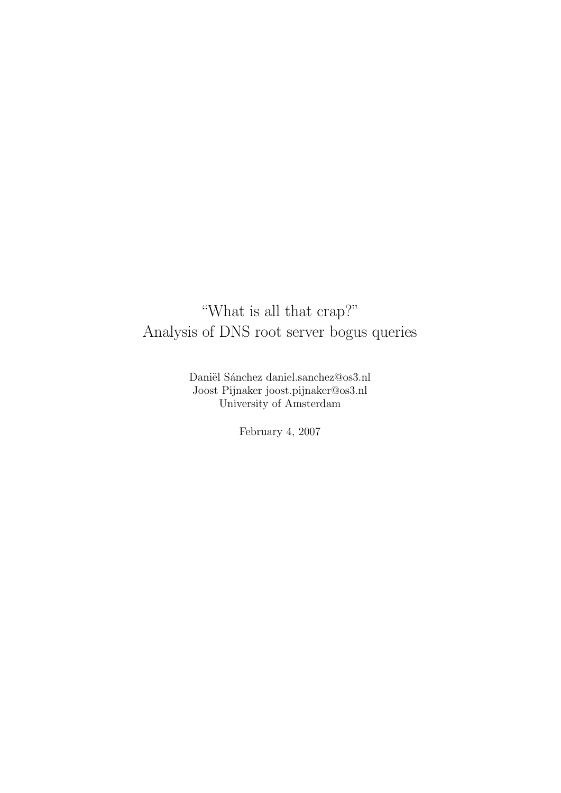## "What is all that crap?" Analysis of DNS root server bogus queries

Daniël Sánchez daniel.sanchez@os3.nl Joost Pijnaker joost.pijnaker@os3.nl University of Amsterdam

February 4, 2007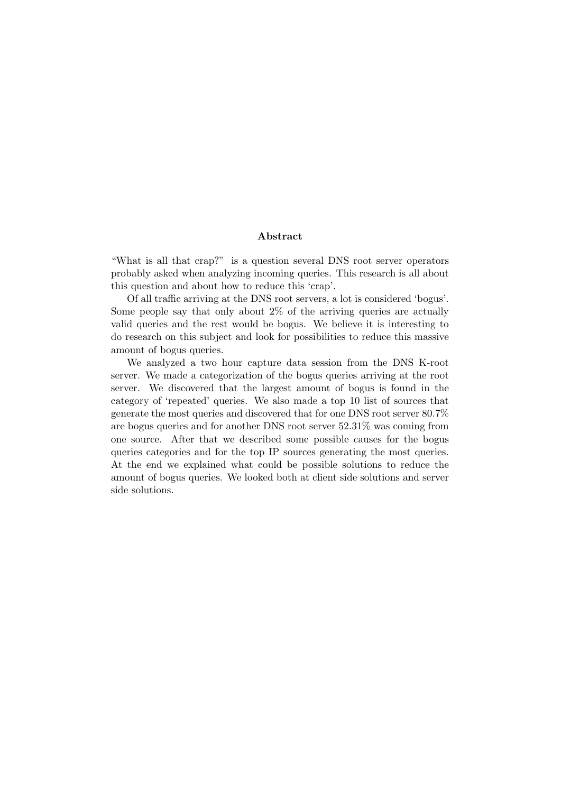### Abstract

"What is all that crap?" is a question several DNS root server operators probably asked when analyzing incoming queries. This research is all about this question and about how to reduce this 'crap'.

Of all traffic arriving at the DNS root servers, a lot is considered 'bogus'. Some people say that only about 2% of the arriving queries are actually valid queries and the rest would be bogus. We believe it is interesting to do research on this subject and look for possibilities to reduce this massive amount of bogus queries.

We analyzed a two hour capture data session from the DNS K-root server. We made a categorization of the bogus queries arriving at the root server. We discovered that the largest amount of bogus is found in the category of 'repeated' queries. We also made a top 10 list of sources that generate the most queries and discovered that for one DNS root server 80.7% are bogus queries and for another DNS root server 52.31% was coming from one source. After that we described some possible causes for the bogus queries categories and for the top IP sources generating the most queries. At the end we explained what could be possible solutions to reduce the amount of bogus queries. We looked both at client side solutions and server side solutions.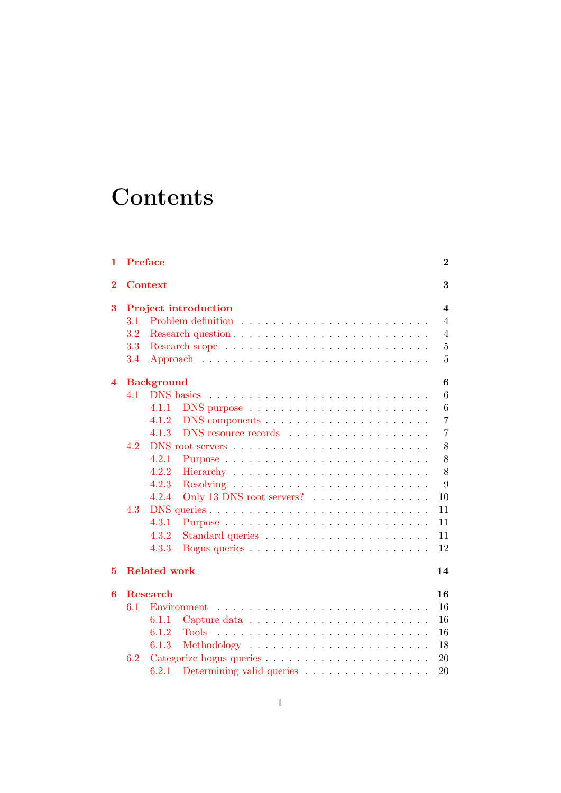# **Contents**

| 1                       | <b>Preface</b>              |                                                                                  | $\bf{2}$       |  |  |
|-------------------------|-----------------------------|----------------------------------------------------------------------------------|----------------|--|--|
| $\bf{2}$                | <b>Context</b><br>3         |                                                                                  |                |  |  |
| 3                       | <b>Project introduction</b> |                                                                                  |                |  |  |
|                         | 3.1                         |                                                                                  | $\overline{4}$ |  |  |
|                         | 3.2                         |                                                                                  | $\overline{4}$ |  |  |
|                         | 3.3                         |                                                                                  | $\overline{5}$ |  |  |
|                         | 3.4                         |                                                                                  | $\overline{5}$ |  |  |
| $\overline{\mathbf{4}}$ |                             | <b>Background</b>                                                                | 6              |  |  |
|                         | 4.1                         |                                                                                  | 6              |  |  |
|                         |                             | 4.1.1<br>$DNS$ purpose $\ldots \ldots \ldots \ldots \ldots \ldots \ldots \ldots$ | 6              |  |  |
|                         |                             | 4.1.2                                                                            | $\overline{7}$ |  |  |
|                         |                             | 4.1.3                                                                            | $\overline{7}$ |  |  |
|                         | 4.2                         |                                                                                  | 8              |  |  |
|                         |                             | 4.2.1                                                                            | 8              |  |  |
|                         |                             | 4.2.2                                                                            | 8              |  |  |
|                         |                             | 4.2.3                                                                            | 9              |  |  |
|                         |                             | 4.2.4<br>Only 13 DNS root servers?                                               | 10             |  |  |
|                         | 4.3                         |                                                                                  | 11             |  |  |
|                         |                             | 4.3.1                                                                            | 11             |  |  |
|                         |                             | 4.3.2                                                                            | 11             |  |  |
|                         |                             | 4.3.3                                                                            | 12             |  |  |
| 5                       |                             | <b>Related work</b>                                                              | 14             |  |  |
| 6                       | <b>Research</b><br>16       |                                                                                  |                |  |  |
|                         | 6.1                         | Environment                                                                      | 16             |  |  |
|                         |                             | 6.1.1                                                                            | 16             |  |  |
|                         |                             | 6.1.2<br><b>Tools</b>                                                            | 16             |  |  |
|                         |                             | 6.1.3                                                                            | 18             |  |  |
|                         | 6.2                         |                                                                                  | 20             |  |  |
|                         |                             | 6.2.1<br>Determining valid queries                                               | 20             |  |  |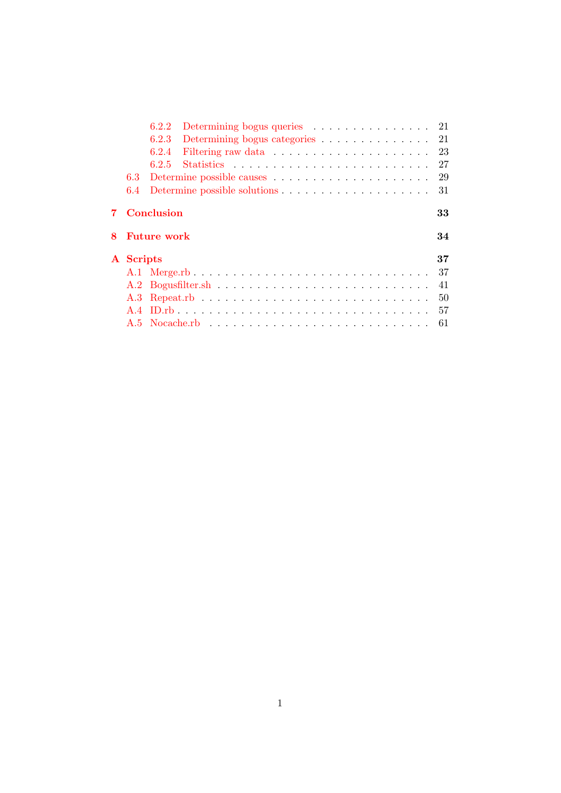|   |           | 6.2.2                                        |  |
|---|-----------|----------------------------------------------|--|
|   |           | Determining bogus categories 21<br>6.2.3     |  |
|   |           | 23<br>6.2.4                                  |  |
|   |           | 27<br>6.2.5                                  |  |
|   | 6.3       | 29                                           |  |
|   | 6.4       | 31                                           |  |
| 8 |           | Conclusion<br>33<br><b>Future work</b><br>34 |  |
|   | A Scripts | 37                                           |  |
|   |           | 37                                           |  |
|   |           | 41                                           |  |
|   |           | 50                                           |  |
|   | A.4       | 57                                           |  |
|   |           |                                              |  |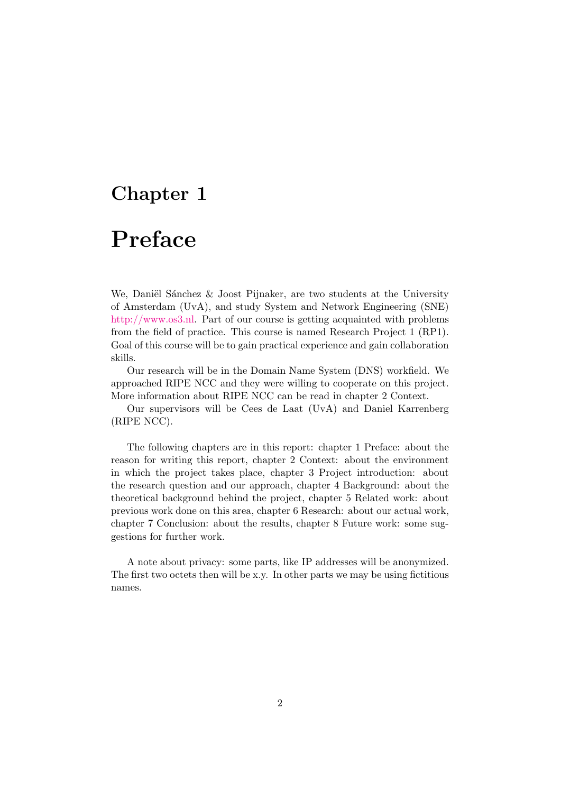# <span id="page-4-0"></span>Preface

We, Daniël Sánchez  $&$  Joost Pijnaker, are two students at the University of Amsterdam (UvA), and study System and Network Engineering (SNE) [http://www.os3.nl.](http://www.os3.nl/) Part of our course is getting acquainted with problems from the field of practice. This course is named Research Project 1 (RP1). Goal of this course will be to gain practical experience and gain collaboration skills.

Our research will be in the Domain Name System (DNS) workfield. We approached RIPE NCC and they were willing to cooperate on this project. More information about RIPE NCC can be read in chapter 2 Context.

Our supervisors will be Cees de Laat (UvA) and Daniel Karrenberg (RIPE NCC).

The following chapters are in this report: chapter 1 Preface: about the reason for writing this report, chapter 2 Context: about the environment in which the project takes place, chapter 3 Project introduction: about the research question and our approach, chapter 4 Background: about the theoretical background behind the project, chapter 5 Related work: about previous work done on this area, chapter 6 Research: about our actual work, chapter 7 Conclusion: about the results, chapter 8 Future work: some suggestions for further work.

A note about privacy: some parts, like IP addresses will be anonymized. The first two octets then will be x.y. In other parts we may be using fictitious names.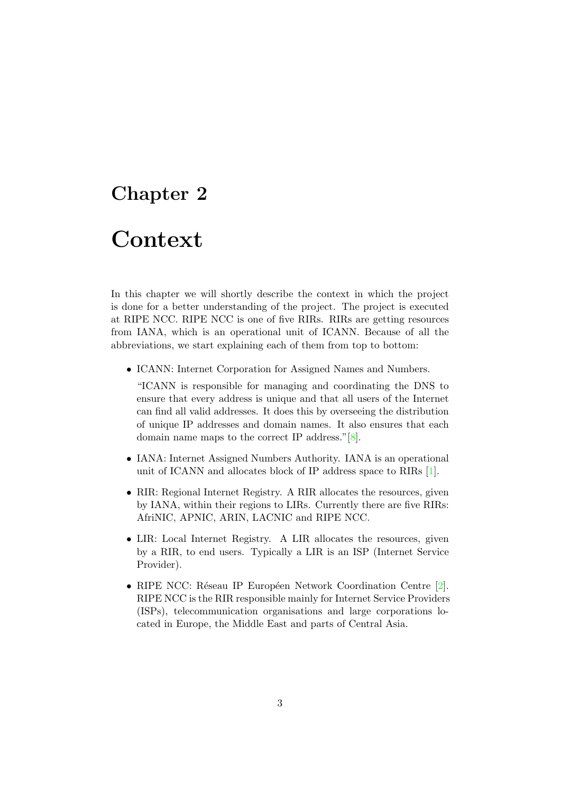# <span id="page-5-0"></span>Context

In this chapter we will shortly describe the context in which the project is done for a better understanding of the project. The project is executed at RIPE NCC. RIPE NCC is one of five RIRs. RIRs are getting resources from IANA, which is an operational unit of ICANN. Because of all the abbreviations, we start explaining each of them from top to bottom:

• ICANN: Internet Corporation for Assigned Names and Numbers.

"ICANN is responsible for managing and coordinating the DNS to ensure that every address is unique and that all users of the Internet can find all valid addresses. It does this by overseeing the distribution of unique IP addresses and domain names. It also ensures that each domain name maps to the correct IP address."[\[8\]](#page-37-0).

- IANA: Internet Assigned Numbers Authority. IANA is an operational unit of ICANN and allocates block of IP address space to RIRs [\[1\]](#page-37-1).
- RIR: Regional Internet Registry. A RIR allocates the resources, given by IANA, within their regions to LIRs. Currently there are five RIRs: AfriNIC, APNIC, ARIN, LACNIC and RIPE NCC.
- LIR: Local Internet Registry. A LIR allocates the resources, given by a RIR, to end users. Typically a LIR is an ISP (Internet Service Provider).
- RIPE NCC: Réseau IP Européen Network Coordination Centre [\[2\]](#page-37-2). RIPE NCC is the RIR responsible mainly for Internet Service Providers (ISPs), telecommunication organisations and large corporations located in Europe, the Middle East and parts of Central Asia.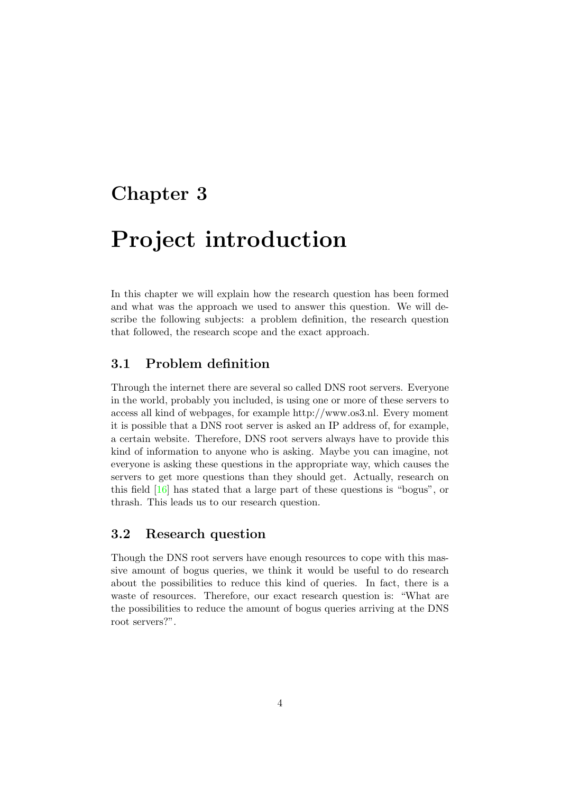# <span id="page-6-0"></span>Project introduction

In this chapter we will explain how the research question has been formed and what was the approach we used to answer this question. We will describe the following subjects: a problem definition, the research question that followed, the research scope and the exact approach.

### <span id="page-6-1"></span>3.1 Problem definition

Through the internet there are several so called DNS root servers. Everyone in the world, probably you included, is using one or more of these servers to access all kind of webpages, for example http://www.os3.nl. Every moment it is possible that a DNS root server is asked an IP address of, for example, a certain website. Therefore, DNS root servers always have to provide this kind of information to anyone who is asking. Maybe you can imagine, not everyone is asking these questions in the appropriate way, which causes the servers to get more questions than they should get. Actually, research on this field [\[16\]](#page-38-0) has stated that a large part of these questions is "bogus", or thrash. This leads us to our research question.

## <span id="page-6-2"></span>3.2 Research question

Though the DNS root servers have enough resources to cope with this massive amount of bogus queries, we think it would be useful to do research about the possibilities to reduce this kind of queries. In fact, there is a waste of resources. Therefore, our exact research question is: "What are the possibilities to reduce the amount of bogus queries arriving at the DNS root servers?".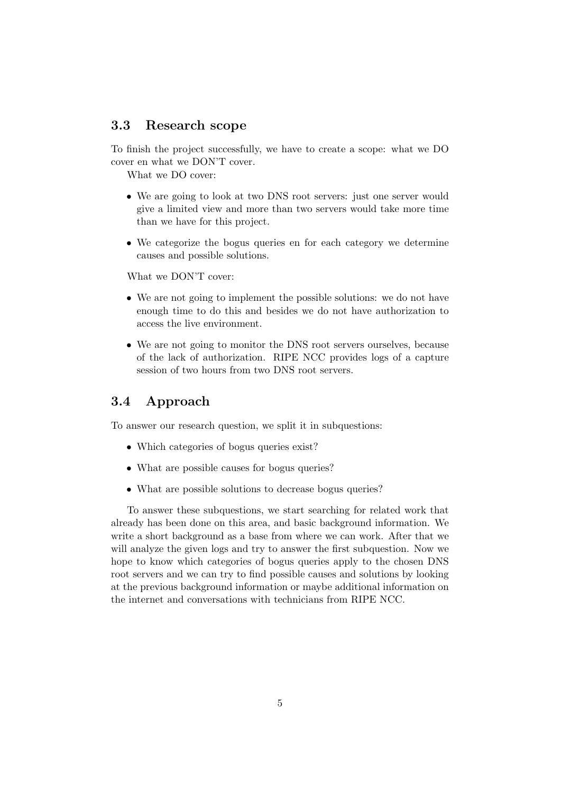### <span id="page-7-0"></span>3.3 Research scope

To finish the project successfully, we have to create a scope: what we DO cover en what we DON'T cover.

What we DO cover:

- We are going to look at two DNS root servers: just one server would give a limited view and more than two servers would take more time than we have for this project.
- We categorize the bogus queries en for each category we determine causes and possible solutions.

What we DON'T cover:

- We are not going to implement the possible solutions: we do not have enough time to do this and besides we do not have authorization to access the live environment.
- We are not going to monitor the DNS root servers ourselves, because of the lack of authorization. RIPE NCC provides logs of a capture session of two hours from two DNS root servers.

## <span id="page-7-1"></span>3.4 Approach

To answer our research question, we split it in subquestions:

- Which categories of bogus queries exist?
- What are possible causes for bogus queries?
- What are possible solutions to decrease bogus queries?

To answer these subquestions, we start searching for related work that already has been done on this area, and basic background information. We write a short background as a base from where we can work. After that we will analyze the given logs and try to answer the first subquestion. Now we hope to know which categories of bogus queries apply to the chosen DNS root servers and we can try to find possible causes and solutions by looking at the previous background information or maybe additional information on the internet and conversations with technicians from RIPE NCC.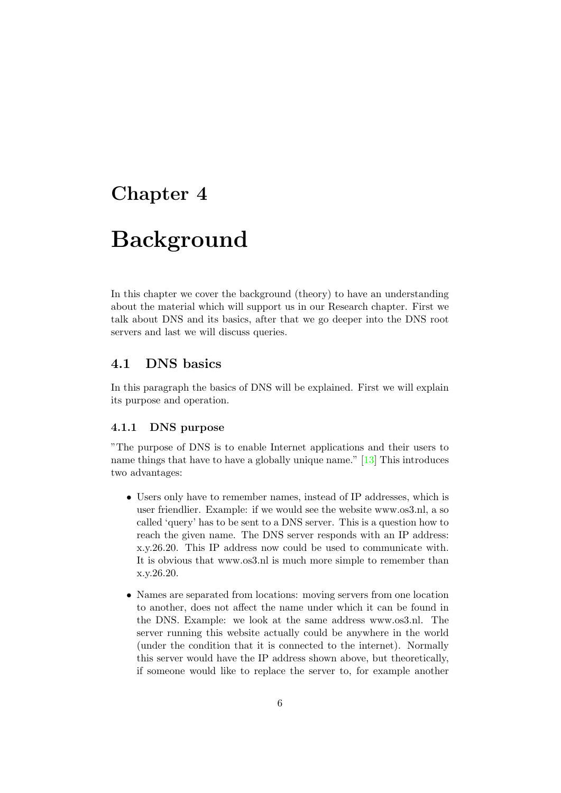# <span id="page-8-0"></span>Background

In this chapter we cover the background (theory) to have an understanding about the material which will support us in our Research chapter. First we talk about DNS and its basics, after that we go deeper into the DNS root servers and last we will discuss queries.

### <span id="page-8-1"></span>4.1 DNS basics

In this paragraph the basics of DNS will be explained. First we will explain its purpose and operation.

### <span id="page-8-2"></span>4.1.1 DNS purpose

"The purpose of DNS is to enable Internet applications and their users to name things that have to have a globally unique name." [\[13\]](#page-38-1) This introduces two advantages:

- Users only have to remember names, instead of IP addresses, which is user friendlier. Example: if we would see the website www.os3.nl, a so called 'query' has to be sent to a DNS server. This is a question how to reach the given name. The DNS server responds with an IP address: x.y.26.20. This IP address now could be used to communicate with. It is obvious that www.os3.nl is much more simple to remember than x.y.26.20.
- Names are separated from locations: moving servers from one location to another, does not affect the name under which it can be found in the DNS. Example: we look at the same address www.os3.nl. The server running this website actually could be anywhere in the world (under the condition that it is connected to the internet). Normally this server would have the IP address shown above, but theoretically, if someone would like to replace the server to, for example another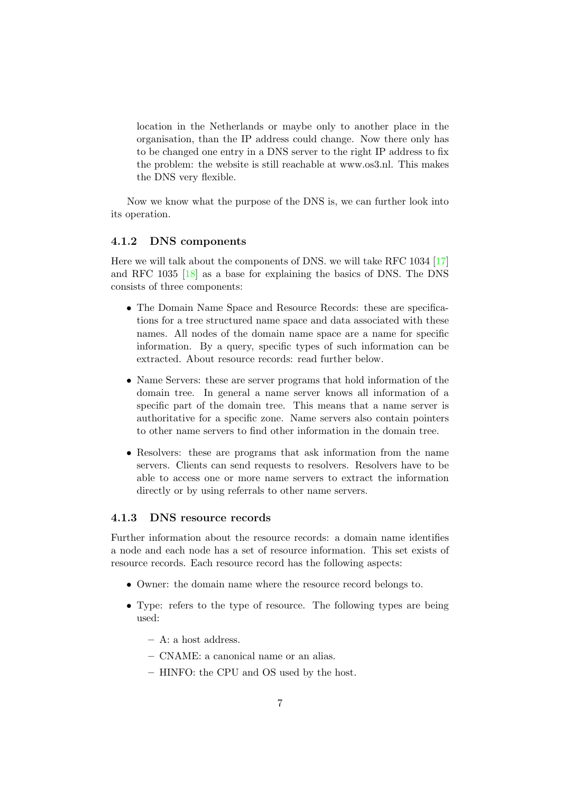location in the Netherlands or maybe only to another place in the organisation, than the IP address could change. Now there only has to be changed one entry in a DNS server to the right IP address to fix the problem: the website is still reachable at www.os3.nl. This makes the DNS very flexible.

Now we know what the purpose of the DNS is, we can further look into its operation.

### <span id="page-9-0"></span>4.1.2 DNS components

Here we will talk about the components of DNS. we will take RFC 1034 [\[17\]](#page-38-2) and RFC 1035 [\[18\]](#page-38-3) as a base for explaining the basics of DNS. The DNS consists of three components:

- The Domain Name Space and Resource Records: these are specifications for a tree structured name space and data associated with these names. All nodes of the domain name space are a name for specific information. By a query, specific types of such information can be extracted. About resource records: read further below.
- Name Servers: these are server programs that hold information of the domain tree. In general a name server knows all information of a specific part of the domain tree. This means that a name server is authoritative for a specific zone. Name servers also contain pointers to other name servers to find other information in the domain tree.
- Resolvers: these are programs that ask information from the name servers. Clients can send requests to resolvers. Resolvers have to be able to access one or more name servers to extract the information directly or by using referrals to other name servers.

### <span id="page-9-1"></span>4.1.3 DNS resource records

Further information about the resource records: a domain name identifies a node and each node has a set of resource information. This set exists of resource records. Each resource record has the following aspects:

- Owner: the domain name where the resource record belongs to.
- Type: refers to the type of resource. The following types are being used:
	- A: a host address.
	- CNAME: a canonical name or an alias.
	- HINFO: the CPU and OS used by the host.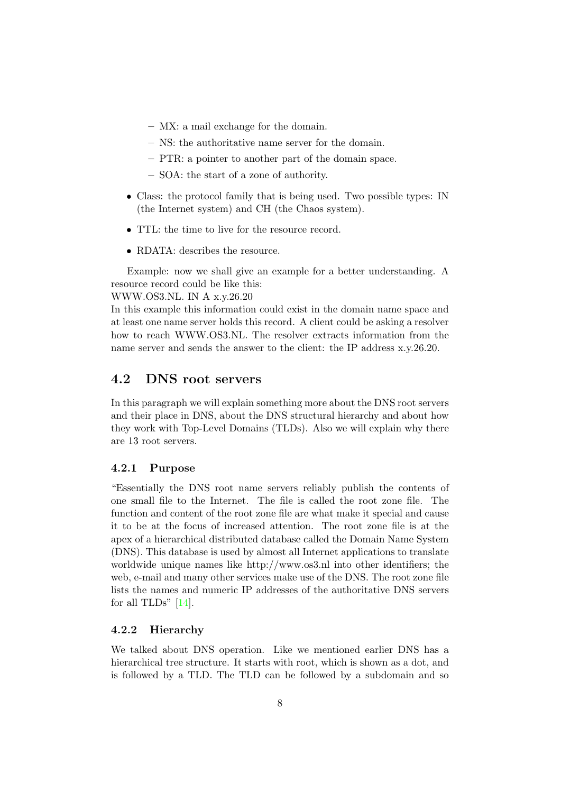- MX: a mail exchange for the domain.
- NS: the authoritative name server for the domain.
- PTR: a pointer to another part of the domain space.
- SOA: the start of a zone of authority.
- Class: the protocol family that is being used. Two possible types: IN (the Internet system) and CH (the Chaos system).
- TTL: the time to live for the resource record.
- RDATA: describes the resource.

Example: now we shall give an example for a better understanding. A resource record could be like this:

WWW.OS3.NL. IN A x.y.26.20

In this example this information could exist in the domain name space and at least one name server holds this record. A client could be asking a resolver how to reach WWW.OS3.NL. The resolver extracts information from the name server and sends the answer to the client: the IP address x.y.26.20.

### <span id="page-10-0"></span>4.2 DNS root servers

In this paragraph we will explain something more about the DNS root servers and their place in DNS, about the DNS structural hierarchy and about how they work with Top-Level Domains (TLDs). Also we will explain why there are 13 root servers.

### <span id="page-10-1"></span>4.2.1 Purpose

"Essentially the DNS root name servers reliably publish the contents of one small file to the Internet. The file is called the root zone file. The function and content of the root zone file are what make it special and cause it to be at the focus of increased attention. The root zone file is at the apex of a hierarchical distributed database called the Domain Name System (DNS). This database is used by almost all Internet applications to translate worldwide unique names like http://www.os3.nl into other identifiers; the web, e-mail and many other services make use of the DNS. The root zone file lists the names and numeric IP addresses of the authoritative DNS servers for all TLDs"  $[14]$ .

#### <span id="page-10-2"></span>4.2.2 Hierarchy

We talked about DNS operation. Like we mentioned earlier DNS has a hierarchical tree structure. It starts with root, which is shown as a dot, and is followed by a TLD. The TLD can be followed by a subdomain and so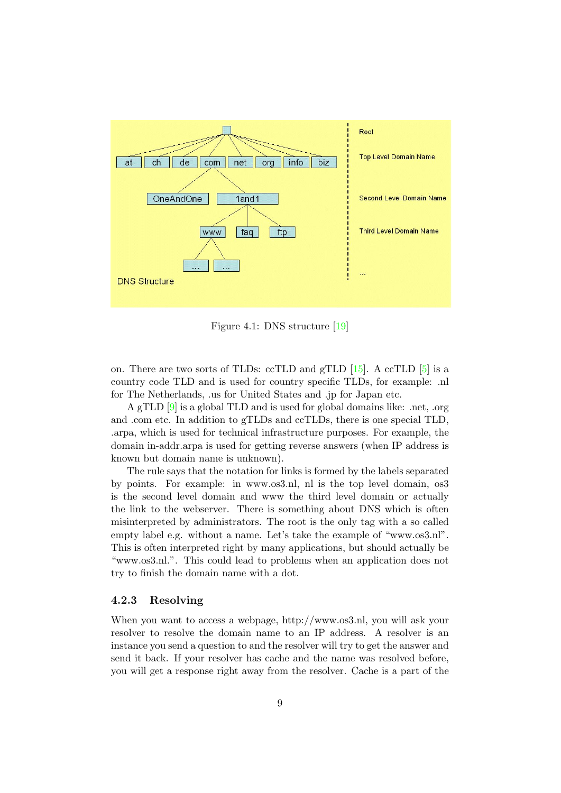

Figure 4.1: DNS structure [\[19\]](#page-38-5)

on. There are two sorts of TLDs: ccTLD and gTLD  $[15]$ . A ccTLD  $[5]$  is a country code TLD and is used for country specific TLDs, for example: .nl for The Netherlands, .us for United States and .jp for Japan etc.

A gTLD [\[9\]](#page-37-4) is a global TLD and is used for global domains like: .net, .org and .com etc. In addition to gTLDs and ccTLDs, there is one special TLD, .arpa, which is used for technical infrastructure purposes. For example, the domain in-addr.arpa is used for getting reverse answers (when IP address is known but domain name is unknown).

The rule says that the notation for links is formed by the labels separated by points. For example: in www.os3.nl, nl is the top level domain, os3 is the second level domain and www the third level domain or actually the link to the webserver. There is something about DNS which is often misinterpreted by administrators. The root is the only tag with a so called empty label e.g. without a name. Let's take the example of "www.os3.nl". This is often interpreted right by many applications, but should actually be "www.os3.nl.". This could lead to problems when an application does not try to finish the domain name with a dot.

### <span id="page-11-0"></span>4.2.3 Resolving

When you want to access a webpage, http://www.os3.nl, you will ask your resolver to resolve the domain name to an IP address. A resolver is an instance you send a question to and the resolver will try to get the answer and send it back. If your resolver has cache and the name was resolved before, you will get a response right away from the resolver. Cache is a part of the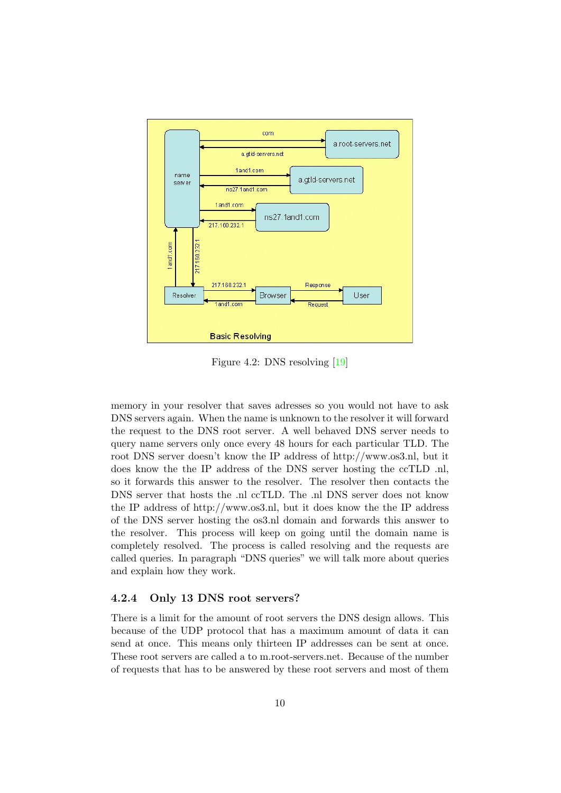

Figure 4.2: DNS resolving [\[19\]](#page-38-5)

memory in your resolver that saves adresses so you would not have to ask DNS servers again. When the name is unknown to the resolver it will forward the request to the DNS root server. A well behaved DNS server needs to query name servers only once every 48 hours for each particular TLD. The root DNS server doesn't know the IP address of http://www.os3.nl, but it does know the the IP address of the DNS server hosting the ccTLD .nl, so it forwards this answer to the resolver. The resolver then contacts the DNS server that hosts the .nl ccTLD. The .nl DNS server does not know the IP address of http://www.os3.nl, but it does know the the IP address of the DNS server hosting the os3.nl domain and forwards this answer to the resolver. This process will keep on going until the domain name is completely resolved. The process is called resolving and the requests are called queries. In paragraph "DNS queries" we will talk more about queries and explain how they work.

### <span id="page-12-0"></span>4.2.4 Only 13 DNS root servers?

There is a limit for the amount of root servers the DNS design allows. This because of the UDP protocol that has a maximum amount of data it can send at once. This means only thirteen IP addresses can be sent at once. These root servers are called a to m.root-servers.net. Because of the number of requests that has to be answered by these root servers and most of them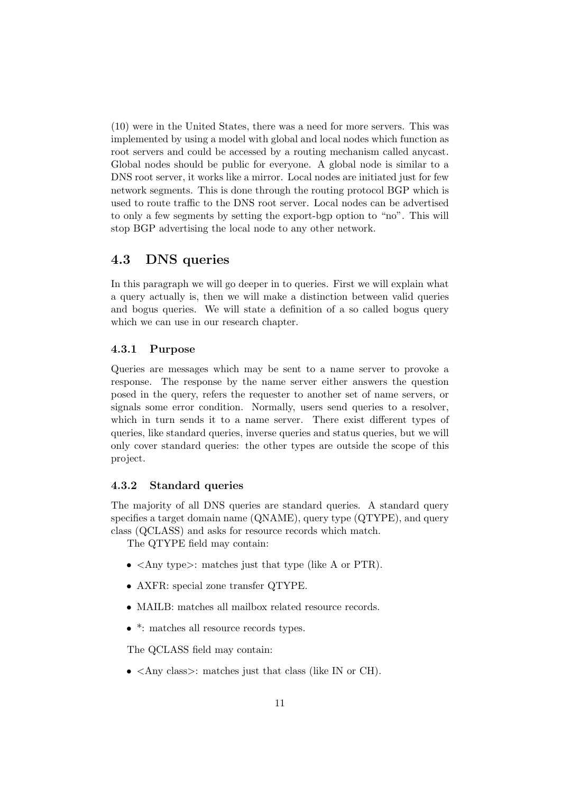(10) were in the United States, there was a need for more servers. This was implemented by using a model with global and local nodes which function as root servers and could be accessed by a routing mechanism called anycast. Global nodes should be public for everyone. A global node is similar to a DNS root server, it works like a mirror. Local nodes are initiated just for few network segments. This is done through the routing protocol BGP which is used to route traffic to the DNS root server. Local nodes can be advertised to only a few segments by setting the export-bgp option to "no". This will stop BGP advertising the local node to any other network.

### <span id="page-13-0"></span>4.3 DNS queries

In this paragraph we will go deeper in to queries. First we will explain what a query actually is, then we will make a distinction between valid queries and bogus queries. We will state a definition of a so called bogus query which we can use in our research chapter.

### <span id="page-13-1"></span>4.3.1 Purpose

Queries are messages which may be sent to a name server to provoke a response. The response by the name server either answers the question posed in the query, refers the requester to another set of name servers, or signals some error condition. Normally, users send queries to a resolver, which in turn sends it to a name server. There exist different types of queries, like standard queries, inverse queries and status queries, but we will only cover standard queries: the other types are outside the scope of this project.

#### <span id="page-13-2"></span>4.3.2 Standard queries

The majority of all DNS queries are standard queries. A standard query specifies a target domain name (QNAME), query type (QTYPE), and query class (QCLASS) and asks for resource records which match.

The QTYPE field may contain:

- <Any type>: matches just that type (like A or PTR).
- AXFR: special zone transfer QTYPE.
- MAILB: matches all mailbox related resource records.
- \*: matches all resource records types.

The QCLASS field may contain:

• <Any class>: matches just that class (like IN or CH).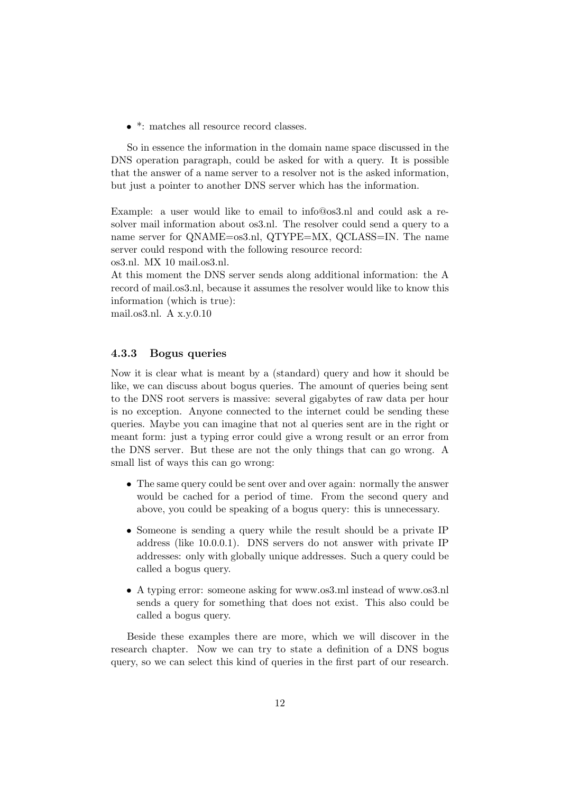• \*: matches all resource record classes.

So in essence the information in the domain name space discussed in the DNS operation paragraph, could be asked for with a query. It is possible that the answer of a name server to a resolver not is the asked information, but just a pointer to another DNS server which has the information.

Example: a user would like to email to info@os3.nl and could ask a resolver mail information about os3.nl. The resolver could send a query to a name server for QNAME=os3.nl, QTYPE=MX, QCLASS=IN. The name server could respond with the following resource record:

os3.nl. MX 10 mail.os3.nl.

At this moment the DNS server sends along additional information: the A record of mail.os3.nl, because it assumes the resolver would like to know this information (which is true):

mail.os3.nl. A x.y.0.10

### <span id="page-14-0"></span>4.3.3 Bogus queries

Now it is clear what is meant by a (standard) query and how it should be like, we can discuss about bogus queries. The amount of queries being sent to the DNS root servers is massive: several gigabytes of raw data per hour is no exception. Anyone connected to the internet could be sending these queries. Maybe you can imagine that not al queries sent are in the right or meant form: just a typing error could give a wrong result or an error from the DNS server. But these are not the only things that can go wrong. A small list of ways this can go wrong:

- The same query could be sent over and over again: normally the answer would be cached for a period of time. From the second query and above, you could be speaking of a bogus query: this is unnecessary.
- Someone is sending a query while the result should be a private IP address (like 10.0.0.1). DNS servers do not answer with private IP addresses: only with globally unique addresses. Such a query could be called a bogus query.
- A typing error: someone asking for www.os3.ml instead of www.os3.nl sends a query for something that does not exist. This also could be called a bogus query.

Beside these examples there are more, which we will discover in the research chapter. Now we can try to state a definition of a DNS bogus query, so we can select this kind of queries in the first part of our research.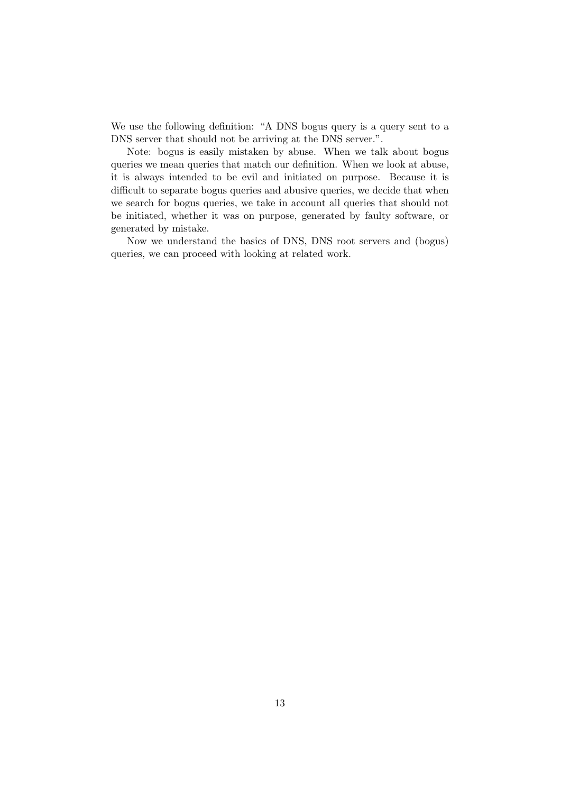We use the following definition: "A DNS bogus query is a query sent to a DNS server that should not be arriving at the DNS server.".

Note: bogus is easily mistaken by abuse. When we talk about bogus queries we mean queries that match our definition. When we look at abuse, it is always intended to be evil and initiated on purpose. Because it is difficult to separate bogus queries and abusive queries, we decide that when we search for bogus queries, we take in account all queries that should not be initiated, whether it was on purpose, generated by faulty software, or generated by mistake.

Now we understand the basics of DNS, DNS root servers and (bogus) queries, we can proceed with looking at related work.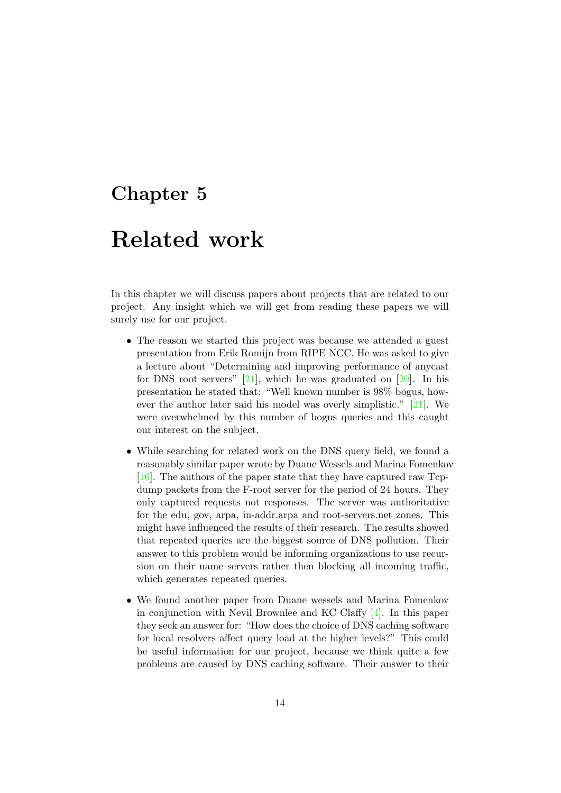## <span id="page-16-0"></span>Related work

In this chapter we will discuss papers about projects that are related to our project. Any insight which we will get from reading these papers we will surely use for our project.

- The reason we started this project was because we attended a guest presentation from Erik Romijn from RIPE NCC. He was asked to give a lecture about "Determining and improving performance of anycast for DNS root servers"  $[21]$ , which he was graduated on  $[20]$ . In his presentation he stated that: "Well known number is 98% bogus, however the author later said his model was overly simplistic." [\[21\]](#page-38-7). We were overwhelmed by this number of bogus queries and this caught our interest on the subject.
- While searching for related work on the DNS query field, we found a reasonably similar paper wrote by Duane Wessels and Marina Fomenkov [\[16\]](#page-38-0). The authors of the paper state that they have captured raw Tcpdump packets from the F-root server for the period of 24 hours. They only captured requests not responses. The server was authoritative for the edu, gov, arpa, in-addr.arpa and root-servers.net zones. This might have influenced the results of their research. The results showed that repeated queries are the biggest source of DNS pollution. Their answer to this problem would be informing organizations to use recursion on their name servers rather then blocking all incoming traffic, which generates repeated queries.
- We found another paper from Duane wessels and Marina Fomenkov in conjunction with Nevil Brownlee and KC Claffy [\[4\]](#page-37-5). In this paper they seek an answer for: "How does the choice of DNS caching software for local resolvers affect query load at the higher levels?" This could be useful information for our project, because we think quite a few problems are caused by DNS caching software. Their answer to their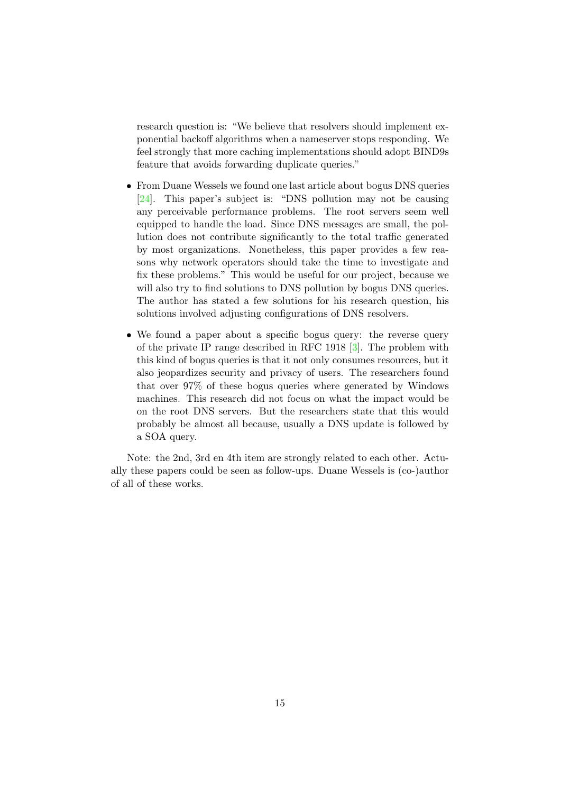research question is: "We believe that resolvers should implement exponential backoff algorithms when a nameserver stops responding. We feel strongly that more caching implementations should adopt BIND9s feature that avoids forwarding duplicate queries."

- From Duane Wessels we found one last article about bogus DNS queries [\[24\]](#page-38-9). This paper's subject is: "DNS pollution may not be causing any perceivable performance problems. The root servers seem well equipped to handle the load. Since DNS messages are small, the pollution does not contribute significantly to the total traffic generated by most organizations. Nonetheless, this paper provides a few reasons why network operators should take the time to investigate and fix these problems." This would be useful for our project, because we will also try to find solutions to DNS pollution by bogus DNS queries. The author has stated a few solutions for his research question, his solutions involved adjusting configurations of DNS resolvers.
- We found a paper about a specific bogus query: the reverse query of the private IP range described in RFC 1918 [\[3\]](#page-37-6). The problem with this kind of bogus queries is that it not only consumes resources, but it also jeopardizes security and privacy of users. The researchers found that over 97% of these bogus queries where generated by Windows machines. This research did not focus on what the impact would be on the root DNS servers. But the researchers state that this would probably be almost all because, usually a DNS update is followed by a SOA query.

Note: the 2nd, 3rd en 4th item are strongly related to each other. Actually these papers could be seen as follow-ups. Duane Wessels is (co-)author of all of these works.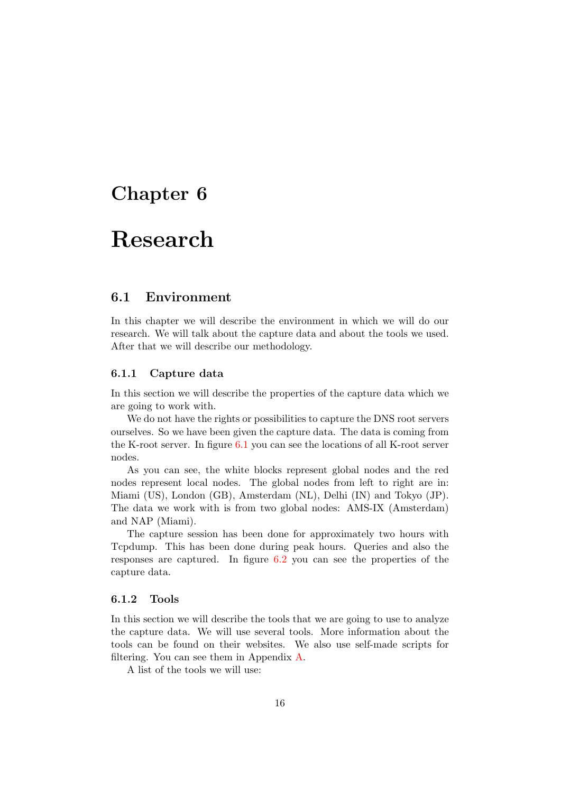# <span id="page-18-0"></span>Research

### <span id="page-18-1"></span>6.1 Environment

In this chapter we will describe the environment in which we will do our research. We will talk about the capture data and about the tools we used. After that we will describe our methodology.

#### <span id="page-18-2"></span>6.1.1 Capture data

In this section we will describe the properties of the capture data which we are going to work with.

We do not have the rights or possibilities to capture the DNS root servers ourselves. So we have been given the capture data. The data is coming from the K-root server. In figure [6.1](#page-19-0) you can see the locations of all K-root server nodes.

As you can see, the white blocks represent global nodes and the red nodes represent local nodes. The global nodes from left to right are in: Miami (US), London (GB), Amsterdam (NL), Delhi (IN) and Tokyo (JP). The data we work with is from two global nodes: AMS-IX (Amsterdam) and NAP (Miami).

The capture session has been done for approximately two hours with Tcpdump. This has been done during peak hours. Queries and also the responses are captured. In figure [6.2](#page-19-1) you can see the properties of the capture data.

#### <span id="page-18-3"></span>6.1.2 Tools

In this section we will describe the tools that we are going to use to analyze the capture data. We will use several tools. More information about the tools can be found on their websites. We also use self-made scripts for filtering. You can see them in Appendix [A.](#page-39-0)

A list of the tools we will use: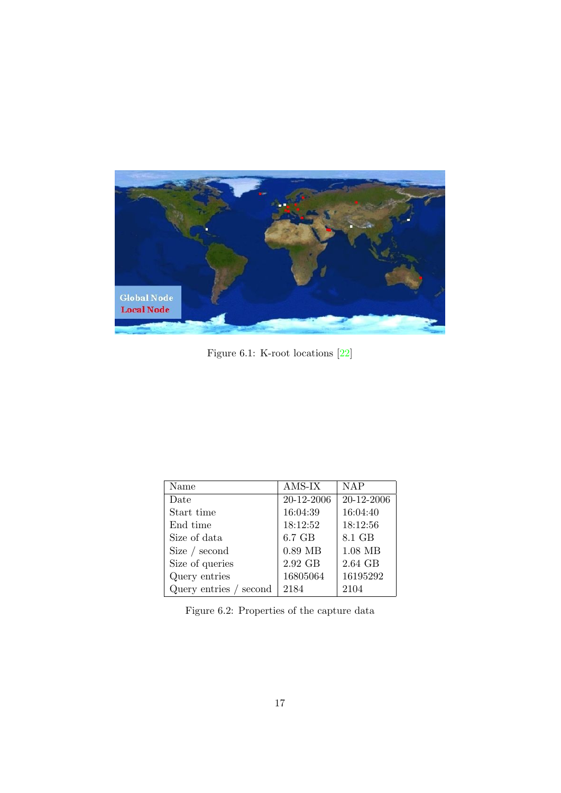

Figure 6.1: K-root locations [\[22\]](#page-38-10)

<span id="page-19-0"></span>

| Name                   | AMS-IX     | <b>NAP</b> |
|------------------------|------------|------------|
| Date                   | 20-12-2006 | 20-12-2006 |
| Start time             | 16:04:39   | 16:04:40   |
| End time               | 18:12:52   | 18:12:56   |
| Size of data           | 6.7 GB     | 8.1 GB     |
| Size $/$ second        | $0.89$ MB  | $1.08$ MB  |
| Size of queries        | 2.92 GB    | 2.64 GB    |
| Query entries          | 16805064   | 16195292   |
| Query entries / second | 2184       | 2104       |

<span id="page-19-1"></span>Figure 6.2: Properties of the capture data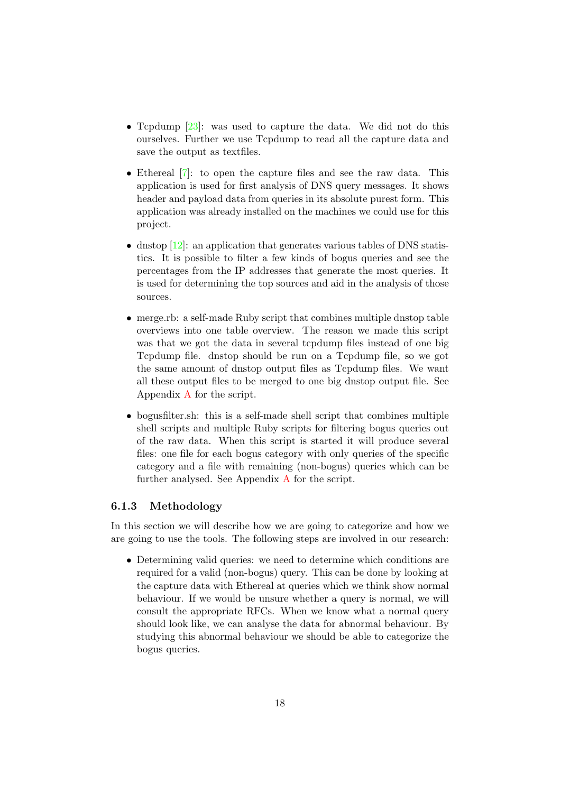- Tcpdump [\[23\]](#page-38-11): was used to capture the data. We did not do this ourselves. Further we use Tcpdump to read all the capture data and save the output as textfiles.
- Ethereal [\[7\]](#page-37-7): to open the capture files and see the raw data. This application is used for first analysis of DNS query messages. It shows header and payload data from queries in its absolute purest form. This application was already installed on the machines we could use for this project.
- dnstop  $[12]$ : an application that generates various tables of DNS statistics. It is possible to filter a few kinds of bogus queries and see the percentages from the IP addresses that generate the most queries. It is used for determining the top sources and aid in the analysis of those sources.
- merge.rb: a self-made Ruby script that combines multiple dnstop table overviews into one table overview. The reason we made this script was that we got the data in several tcpdump files instead of one big Tcpdump file. dnstop should be run on a Tcpdump file, so we got the same amount of dnstop output files as Tcpdump files. We want all these output files to be merged to one big dnstop output file. See Appendix [A](#page-39-0) for the script.
- bogusfilter.sh: this is a self-made shell script that combines multiple shell scripts and multiple Ruby scripts for filtering bogus queries out of the raw data. When this script is started it will produce several files: one file for each bogus category with only queries of the specific category and a file with remaining (non-bogus) queries which can be further analysed. See Appendix [A](#page-39-0) for the script.

### <span id="page-20-0"></span>6.1.3 Methodology

In this section we will describe how we are going to categorize and how we are going to use the tools. The following steps are involved in our research:

• Determining valid queries: we need to determine which conditions are required for a valid (non-bogus) query. This can be done by looking at the capture data with Ethereal at queries which we think show normal behaviour. If we would be unsure whether a query is normal, we will consult the appropriate RFCs. When we know what a normal query should look like, we can analyse the data for abnormal behaviour. By studying this abnormal behaviour we should be able to categorize the bogus queries.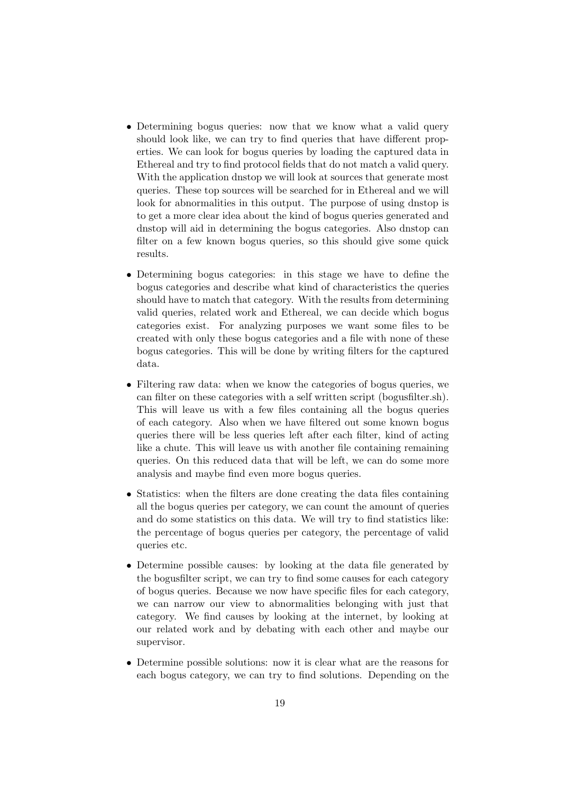- Determining bogus queries: now that we know what a valid query should look like, we can try to find queries that have different properties. We can look for bogus queries by loading the captured data in Ethereal and try to find protocol fields that do not match a valid query. With the application dnstop we will look at sources that generate most queries. These top sources will be searched for in Ethereal and we will look for abnormalities in this output. The purpose of using dnstop is to get a more clear idea about the kind of bogus queries generated and dnstop will aid in determining the bogus categories. Also dnstop can filter on a few known bogus queries, so this should give some quick results.
- Determining bogus categories: in this stage we have to define the bogus categories and describe what kind of characteristics the queries should have to match that category. With the results from determining valid queries, related work and Ethereal, we can decide which bogus categories exist. For analyzing purposes we want some files to be created with only these bogus categories and a file with none of these bogus categories. This will be done by writing filters for the captured data.
- Filtering raw data: when we know the categories of bogus queries, we can filter on these categories with a self written script (bogusfilter.sh). This will leave us with a few files containing all the bogus queries of each category. Also when we have filtered out some known bogus queries there will be less queries left after each filter, kind of acting like a chute. This will leave us with another file containing remaining queries. On this reduced data that will be left, we can do some more analysis and maybe find even more bogus queries.
- Statistics: when the filters are done creating the data files containing all the bogus queries per category, we can count the amount of queries and do some statistics on this data. We will try to find statistics like: the percentage of bogus queries per category, the percentage of valid queries etc.
- Determine possible causes: by looking at the data file generated by the bogusfilter script, we can try to find some causes for each category of bogus queries. Because we now have specific files for each category, we can narrow our view to abnormalities belonging with just that category. We find causes by looking at the internet, by looking at our related work and by debating with each other and maybe our supervisor.
- Determine possible solutions: now it is clear what are the reasons for each bogus category, we can try to find solutions. Depending on the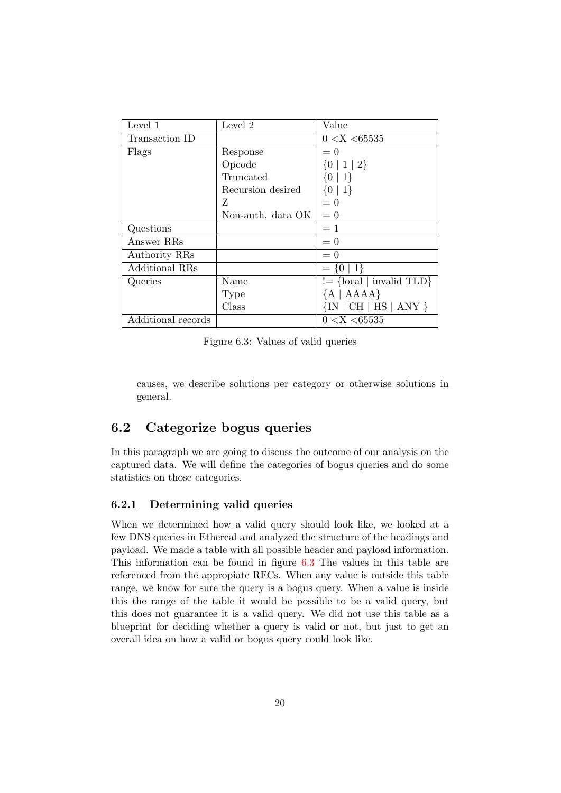| Level 1               | Level 2           | Value                      |
|-----------------------|-------------------|----------------------------|
| Transaction ID        |                   | 0 < X < 65535              |
| Flags                 | Response          | $= 0$                      |
|                       | Opcode            | $\{0 \mid 1 \mid 2\}$      |
|                       | Truncated         | $\{0   1\}$                |
|                       | Recursion desired | $\{0   1\}$                |
|                       | Z                 | $= 0$                      |
|                       | Non-auth. data OK | $= 0$                      |
| Questions             |                   | $=1$                       |
| Answer RRs            |                   | $= 0$                      |
| Authority RRs         |                   | $= 0$                      |
| <b>Additional RRs</b> |                   | $=\{0 1\}$                 |
| Queries               | Name              | $!=$ {local   invalid TLD} |
|                       | Type              | ${A   AAAA}$               |
|                       | Class             | $\{IN   CH   HS   ANY \}$  |
| Additional records    |                   | 0 < X < 65535              |

<span id="page-22-2"></span>Figure 6.3: Values of valid queries

causes, we describe solutions per category or otherwise solutions in general.

### <span id="page-22-0"></span>6.2 Categorize bogus queries

In this paragraph we are going to discuss the outcome of our analysis on the captured data. We will define the categories of bogus queries and do some statistics on those categories.

#### <span id="page-22-1"></span>6.2.1 Determining valid queries

When we determined how a valid query should look like, we looked at a few DNS queries in Ethereal and analyzed the structure of the headings and payload. We made a table with all possible header and payload information. This information can be found in figure [6.3](#page-22-2) The values in this table are referenced from the appropiate RFCs. When any value is outside this table range, we know for sure the query is a bogus query. When a value is inside this the range of the table it would be possible to be a valid query, but this does not guarantee it is a valid query. We did not use this table as a blueprint for deciding whether a query is valid or not, but just to get an overall idea on how a valid or bogus query could look like.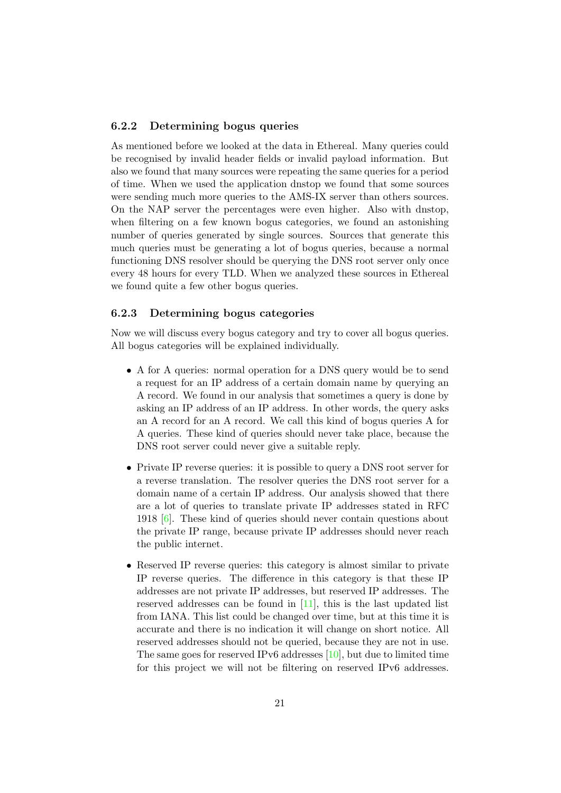### <span id="page-23-0"></span>6.2.2 Determining bogus queries

As mentioned before we looked at the data in Ethereal. Many queries could be recognised by invalid header fields or invalid payload information. But also we found that many sources were repeating the same queries for a period of time. When we used the application dnstop we found that some sources were sending much more queries to the AMS-IX server than others sources. On the NAP server the percentages were even higher. Also with dnstop, when filtering on a few known bogus categories, we found an astonishing number of queries generated by single sources. Sources that generate this much queries must be generating a lot of bogus queries, because a normal functioning DNS resolver should be querying the DNS root server only once every 48 hours for every TLD. When we analyzed these sources in Ethereal we found quite a few other bogus queries.

#### <span id="page-23-1"></span>6.2.3 Determining bogus categories

Now we will discuss every bogus category and try to cover all bogus queries. All bogus categories will be explained individually.

- A for A queries: normal operation for a DNS query would be to send a request for an IP address of a certain domain name by querying an A record. We found in our analysis that sometimes a query is done by asking an IP address of an IP address. In other words, the query asks an A record for an A record. We call this kind of bogus queries A for A queries. These kind of queries should never take place, because the DNS root server could never give a suitable reply.
- Private IP reverse queries: it is possible to query a DNS root server for a reverse translation. The resolver queries the DNS root server for a domain name of a certain IP address. Our analysis showed that there are a lot of queries to translate private IP addresses stated in RFC 1918 [\[6\]](#page-37-8). These kind of queries should never contain questions about the private IP range, because private IP addresses should never reach the public internet.
- Reserved IP reverse queries: this category is almost similar to private IP reverse queries. The difference in this category is that these IP addresses are not private IP addresses, but reserved IP addresses. The reserved addresses can be found in [\[11\]](#page-37-9), this is the last updated list from IANA. This list could be changed over time, but at this time it is accurate and there is no indication it will change on short notice. All reserved addresses should not be queried, because they are not in use. The same goes for reserved IPv6 addresses [\[10\]](#page-37-10), but due to limited time for this project we will not be filtering on reserved IPv6 addresses.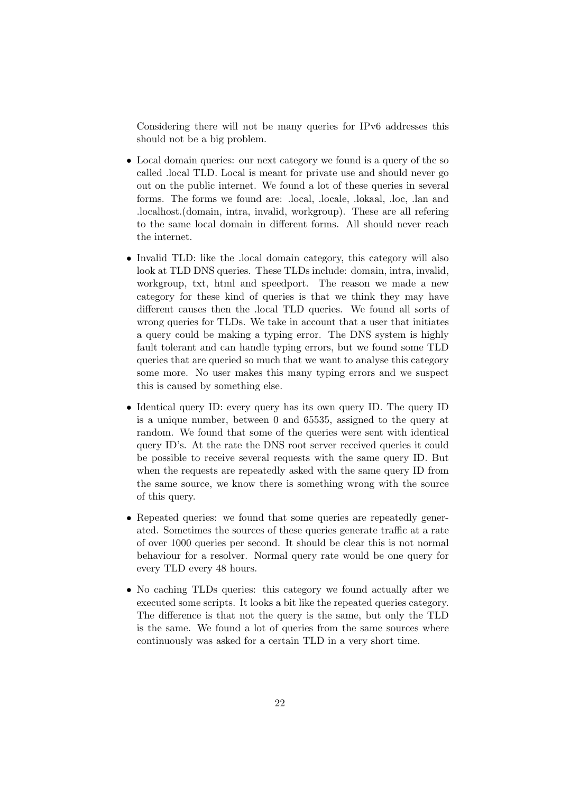Considering there will not be many queries for IPv6 addresses this should not be a big problem.

- Local domain queries: our next category we found is a query of the so called .local TLD. Local is meant for private use and should never go out on the public internet. We found a lot of these queries in several forms. The forms we found are: .local, .locale, .lokaal, .loc, .lan and .localhost.(domain, intra, invalid, workgroup). These are all refering to the same local domain in different forms. All should never reach the internet.
- Invalid TLD: like the .local domain category, this category will also look at TLD DNS queries. These TLDs include: domain, intra, invalid, workgroup, txt, html and speedport. The reason we made a new category for these kind of queries is that we think they may have different causes then the .local TLD queries. We found all sorts of wrong queries for TLDs. We take in account that a user that initiates a query could be making a typing error. The DNS system is highly fault tolerant and can handle typing errors, but we found some TLD queries that are queried so much that we want to analyse this category some more. No user makes this many typing errors and we suspect this is caused by something else.
- Identical query ID: every query has its own query ID. The query ID is a unique number, between 0 and 65535, assigned to the query at random. We found that some of the queries were sent with identical query ID's. At the rate the DNS root server received queries it could be possible to receive several requests with the same query ID. But when the requests are repeatedly asked with the same query ID from the same source, we know there is something wrong with the source of this query.
- Repeated queries: we found that some queries are repeatedly generated. Sometimes the sources of these queries generate traffic at a rate of over 1000 queries per second. It should be clear this is not normal behaviour for a resolver. Normal query rate would be one query for every TLD every 48 hours.
- No caching TLDs queries: this category we found actually after we executed some scripts. It looks a bit like the repeated queries category. The difference is that not the query is the same, but only the TLD is the same. We found a lot of queries from the same sources where continuously was asked for a certain TLD in a very short time.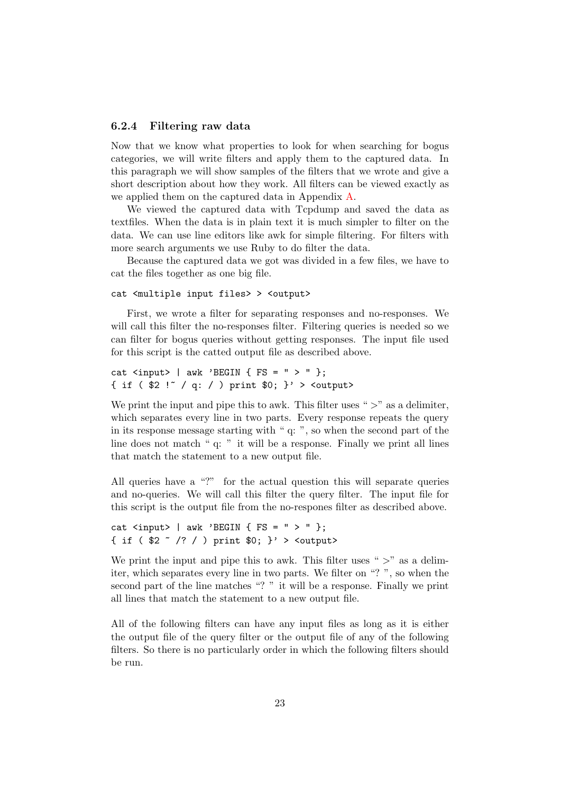#### <span id="page-25-0"></span>6.2.4 Filtering raw data

Now that we know what properties to look for when searching for bogus categories, we will write filters and apply them to the captured data. In this paragraph we will show samples of the filters that we wrote and give a short description about how they work. All filters can be viewed exactly as we applied them on the captured data in Appendix [A.](#page-39-0)

We viewed the captured data with Tcpdump and saved the data as textfiles. When the data is in plain text it is much simpler to filter on the data. We can use line editors like awk for simple filtering. For filters with more search arguments we use Ruby to do filter the data.

Because the captured data we got was divided in a few files, we have to cat the files together as one big file.

#### cat <multiple input files> > <output>

First, we wrote a filter for separating responses and no-responses. We will call this filter the no-responses filter. Filtering queries is needed so we can filter for bogus queries without getting responses. The input file used for this script is the catted output file as described above.

```
cat \langleinput> | awk 'BEGIN { FS = " > " };
{ if ( $2 !~ / q: / ) print $0; }' > <output>
```
We print the input and pipe this to awk. This filter uses " $>$ " as a delimiter, which separates every line in two parts. Every response repeats the query in its response message starting with " q: ", so when the second part of the line does not match " q: " it will be a response. Finally we print all lines that match the statement to a new output file.

All queries have a "?" for the actual question this will separate queries and no-queries. We will call this filter the query filter. The input file for this script is the output file from the no-respones filter as described above.

```
cat \langleinput> | awk 'BEGIN { FS = " > " };
{ if ( $2 \degree /? / ) print $0; }' > <output>
```
We print the input and pipe this to awk. This filter uses " $>$ " as a delimiter, which separates every line in two parts. We filter on "? ", so when the second part of the line matches "? " it will be a response. Finally we print all lines that match the statement to a new output file.

All of the following filters can have any input files as long as it is either the output file of the query filter or the output file of any of the following filters. So there is no particularly order in which the following filters should be run.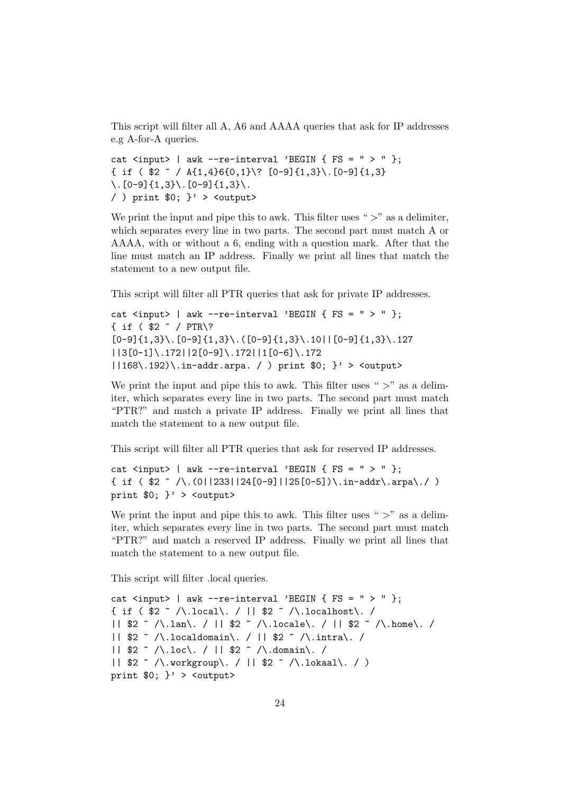This script will filter all A, A6 and AAAA queries that ask for IP addresses e.g A-for-A queries.

```
cat \langleinput> | awk --re-interval 'BEGIN { FS = " > " };
\{ \text{ if } (\$2 \text{ } ^{\circ} / A\{1,4\}6\{0,1\} \ [0-9]\{1,3\}. [0-9]\{1,3\}\setminus. [0-9]\{1,3\}\setminus. [0-9]\{1,3\}\setminus.
/ ) print 0; ' > <output>
```
We print the input and pipe this to awk. This filter uses " $>$ " as a delimiter, which separates every line in two parts. The second part must match A or AAAA, with or without a 6, ending with a question mark. After that the line must match an IP address. Finally we print all lines that match the statement to a new output file.

This script will filter all PTR queries that ask for private IP addresses.

```
cat \langleinput> | awk --re-interval 'BEGIN { FS = " > " };
{ if ( $2 ~ / PTR\?
[0-9]{1,3}\. [0-9]{1,3}\. [0-9]{1,3}\. ([0-9]{1,3}\.10||[0-9]{1,3}\.127||3[0-1]\.172||2[0-9]\.172||1[0-6]\.172
|168\rangle.192\rangle\langle.in-addr.\text{arpa.} / ) \text{print $0; } ' > <output>
```
We print the input and pipe this to awk. This filter uses " $>$ " as a delimiter, which separates every line in two parts. The second part must match "PTR?" and match a private IP address. Finally we print all lines that match the statement to a new output file.

This script will filter all PTR queries that ask for reserved IP addresses.

```
cat \langleinput> | awk --re-interval 'BEGIN { FS = " > " };
\{ if (<math>\$2 \ \textdegree / \backslash .(0||233||24[0-9]||25[0-5]) \backslash .in-addr \backslash .arpa \backslash ./ )print $0; }' > <output>
```
We print the input and pipe this to awk. This filter uses " $>$ " as a delimiter, which separates every line in two parts. The second part must match "PTR?" and match a reserved IP address. Finally we print all lines that match the statement to a new output file.

This script will filter .local queries.

```
cat \langleinput> | awk --re-interval 'BEGIN { FS = " > " };
{ if ( $2 \sim /\.local\. / || $2 \sim /\.localhost\. /
|| $2 ~ /\.lan\. / || $2 ~ /\.locale\. / || $2 ~ /\.home\. /
|| $2 ~ /\.localdomain\. / || $2 ~ /\.intra\. /
|| $2 ~ /\.loc\. / || $2 ~ /\.domain\. /
|| $2 ~ /\.workgroup\. / || $2 ~ /\.lokaal\. / )
print 0; \}' > <output>
```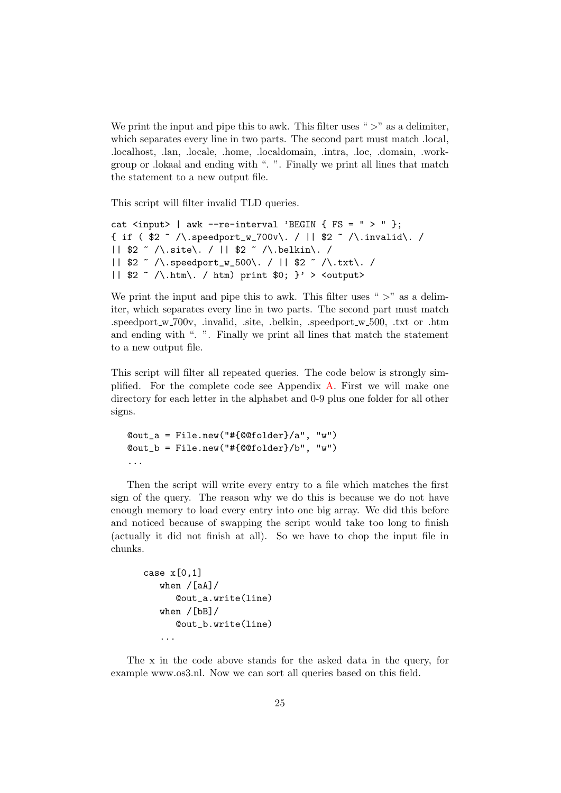We print the input and pipe this to awk. This filter uses " $>$ " as a delimiter, which separates every line in two parts. The second part must match .local, .localhost, .lan, .locale, .home, .localdomain, .intra, .loc, .domain, .workgroup or .lokaal and ending with ". ". Finally we print all lines that match the statement to a new output file.

This script will filter invalid TLD queries.

```
cat \langleinput> | awk --re-interval 'BEGIN { FS = " > " };
{ if ( $2 ~ /\.speedport_w_700v\. / || $2 ~ /\.invalid\. /
|| $2 ~ /\.site\. / || $2 ~ /\.belkin\. /
|| $2 ~ /\.speedport_w_500\. / || $2 ~ /\.txt\. /
|| $2 \sim /\.htm\. / htm) print $0; }' > <output>
```
We print the input and pipe this to awk. This filter uses " $>$ " as a delimiter, which separates every line in two parts. The second part must match .speedport w 700v, .invalid, .site, .belkin, .speedport w 500, .txt or .htm and ending with ". ". Finally we print all lines that match the statement to a new output file.

This script will filter all repeated queries. The code below is strongly simplified. For the complete code see Appendix [A.](#page-39-0) First we will make one directory for each letter in the alphabet and 0-9 plus one folder for all other signs.

```
@out_a = File.new("#{@@folder}/a", "w")
@out_b = File.new("#{@@folder}/b", "w")
...
```
Then the script will write every entry to a file which matches the first sign of the query. The reason why we do this is because we do not have enough memory to load every entry into one big array. We did this before and noticed because of swapping the script would take too long to finish (actually it did not finish at all). So we have to chop the input file in chunks.

```
case x[0,1]when /[aA]/@out_a.write(line)
   when /[bB]/
      @out_b.write(line)
   ...
```
The x in the code above stands for the asked data in the query, for example www.os3.nl. Now we can sort all queries based on this field.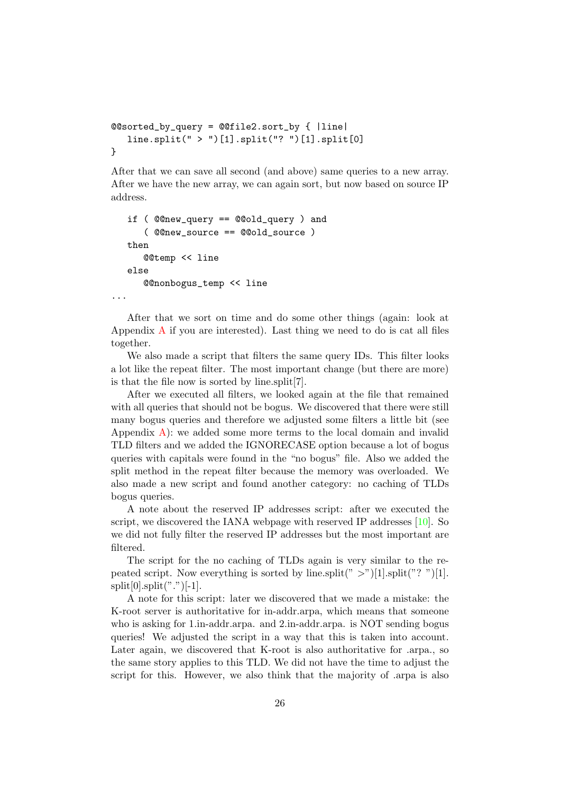```
@@sorted_by_query = @@file2.sort_by { |line|
   line.split(" > ")[1].split("? ")[1].split[0]
}
```
After that we can save all second (and above) same queries to a new array. After we have the new array, we can again sort, but now based on source IP address.

```
if ( @@new_query == @@old_query ) and
      ( @@new_source == @@old_source )
  then
     @@temp << line
  else
      @@nonbogus_temp << line
...
```
After that we sort on time and do some other things (again: look at [A](#page-39-0)ppendix  $\overline{A}$  if you are interested). Last thing we need to do is cat all files together.

We also made a script that filters the same query IDs. This filter looks a lot like the repeat filter. The most important change (but there are more) is that the file now is sorted by line.split[7].

After we executed all filters, we looked again at the file that remained with all queries that should not be bogus. We discovered that there were still many bogus queries and therefore we adjusted some filters a little bit (see Appendix  $\bf{A}$ : we added some more terms to the local domain and invalid TLD filters and we added the IGNORECASE option because a lot of bogus queries with capitals were found in the "no bogus" file. Also we added the split method in the repeat filter because the memory was overloaded. We also made a new script and found another category: no caching of TLDs bogus queries.

A note about the reserved IP addresses script: after we executed the script, we discovered the IANA webpage with reserved IP addresses [\[10\]](#page-37-10). So we did not fully filter the reserved IP addresses but the most important are filtered.

The script for the no caching of TLDs again is very similar to the repeated script. Now everything is sorted by line.split(" $>$ ")[1].split("?")[1].  $split[0].split("$ ." $)[-1].$ 

A note for this script: later we discovered that we made a mistake: the K-root server is authoritative for in-addr.arpa, which means that someone who is asking for 1.in-addr.arpa. and 2.in-addr.arpa. is NOT sending bogus queries! We adjusted the script in a way that this is taken into account. Later again, we discovered that K-root is also authoritative for .arpa., so the same story applies to this TLD. We did not have the time to adjust the script for this. However, we also think that the majority of .arpa is also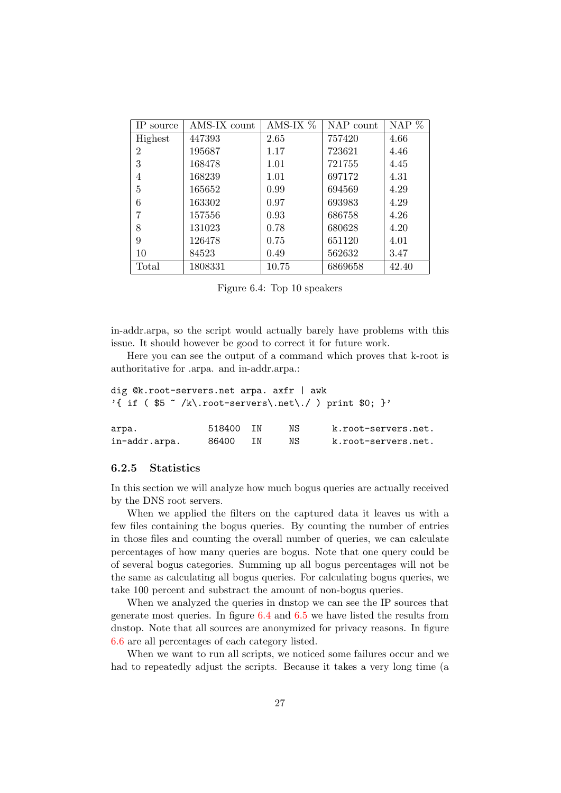| IP source      | AMS-IX count | AMS-IX $%$ | NAP count | NAP $%$ |
|----------------|--------------|------------|-----------|---------|
| Highest        | 447393       | 2.65       | 757420    | 4.66    |
| $\overline{2}$ | 195687       | 1.17       | 723621    | 4.46    |
| 3              | 168478       | 1.01       | 721755    | 4.45    |
| 4              | 168239       | 1.01       | 697172    | 4.31    |
| 5              | 165652       | 0.99       | 694569    | 4.29    |
| 6              | 163302       | 0.97       | 693983    | 4.29    |
| 7              | 157556       | 0.93       | 686758    | 4.26    |
| 8              | 131023       | 0.78       | 680628    | 4.20    |
| 9              | 126478       | 0.75       | 651120    | 4.01    |
| 10             | 84523        | 0.49       | 562632    | 3.47    |
| Total          | 1808331      | 10.75      | 6869658   | 42.40   |

<span id="page-29-1"></span>Figure 6.4: Top 10 speakers

in-addr.arpa, so the script would actually barely have problems with this issue. It should however be good to correct it for future work.

Here you can see the output of a command which proves that k-root is authoritative for .arpa. and in-addr.arpa.:

```
dig @k.root-servers.net arpa. axfr | awk
'{ if ( $5 \sim /k\.root-servers\.net\./ ) print $0; }'
arpa. 518400 IN NS k.root-servers.net.
in-addr.arpa. 86400 IN NS k.root-servers.net.
```
### <span id="page-29-0"></span>6.2.5 Statistics

In this section we will analyze how much bogus queries are actually received by the DNS root servers.

When we applied the filters on the captured data it leaves us with a few files containing the bogus queries. By counting the number of entries in those files and counting the overall number of queries, we can calculate percentages of how many queries are bogus. Note that one query could be of several bogus categories. Summing up all bogus percentages will not be the same as calculating all bogus queries. For calculating bogus queries, we take 100 percent and substract the amount of non-bogus queries.

When we analyzed the queries in dnstop we can see the IP sources that generate most queries. In figure [6.4](#page-29-1) and [6.5](#page-30-0) we have listed the results from dnstop. Note that all sources are anonymized for privacy reasons. In figure [6.6](#page-30-1) are all percentages of each category listed.

When we want to run all scripts, we noticed some failures occur and we had to repeatedly adjust the scripts. Because it takes a very long time (a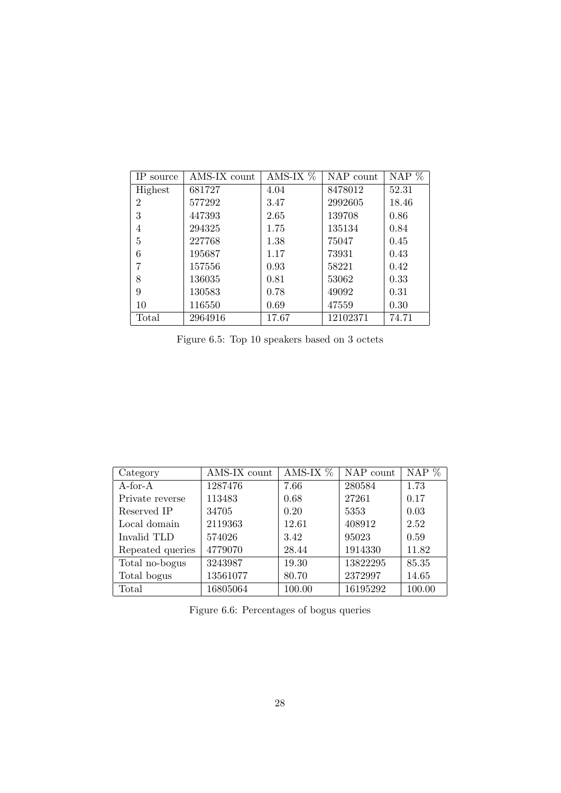| IP source      | AMS-IX count | AMS-IX $%$ | NAP count | NAP % |
|----------------|--------------|------------|-----------|-------|
| Highest        | 681727       | 4.04       | 8478012   | 52.31 |
| $\overline{2}$ | 577292       | 3.47       | 2992605   | 18.46 |
| 3              | 447393       | 2.65       | 139708    | 0.86  |
| 4              | 294325       | 1.75       | 135134    | 0.84  |
| 5              | 227768       | 1.38       | 75047     | 0.45  |
| 6              | 195687       | 1.17       | 73931     | 0.43  |
| 7              | 157556       | 0.93       | 58221     | 0.42  |
| 8              | 136035       | 0.81       | 53062     | 0.33  |
| 9              | 130583       | 0.78       | 49092     | 0.31  |
| 10             | 116550       | 0.69       | 47559     | 0.30  |
| Total          | 2964916      | 17.67      | 12102371  | 74.71 |

<span id="page-30-0"></span>Figure 6.5: Top 10 speakers based on 3 octets

| Category         | AMS-IX count | AMS-IX $%$ | NAP count | NAP %  |
|------------------|--------------|------------|-----------|--------|
| $A$ -for- $A$    | 1287476      | 7.66       | 280584    | 1.73   |
| Private reverse  | 113483       | 0.68       | 27261     | 0.17   |
| Reserved IP      | 34705        | 0.20       | 5353      | 0.03   |
| Local domain     | 2119363      | 12.61      | 408912    | 2.52   |
| Invalid TLD      | 574026       | 3.42       | 95023     | 0.59   |
| Repeated queries | 4779070      | 28.44      | 1914330   | 11.82  |
| Total no-bogus   | 3243987      | 19.30      | 13822295  | 85.35  |
| Total bogus      | 13561077     | 80.70      | 2372997   | 14.65  |
| Total            | 16805064     | 100.00     | 16195292  | 100.00 |

<span id="page-30-1"></span>Figure 6.6: Percentages of bogus queries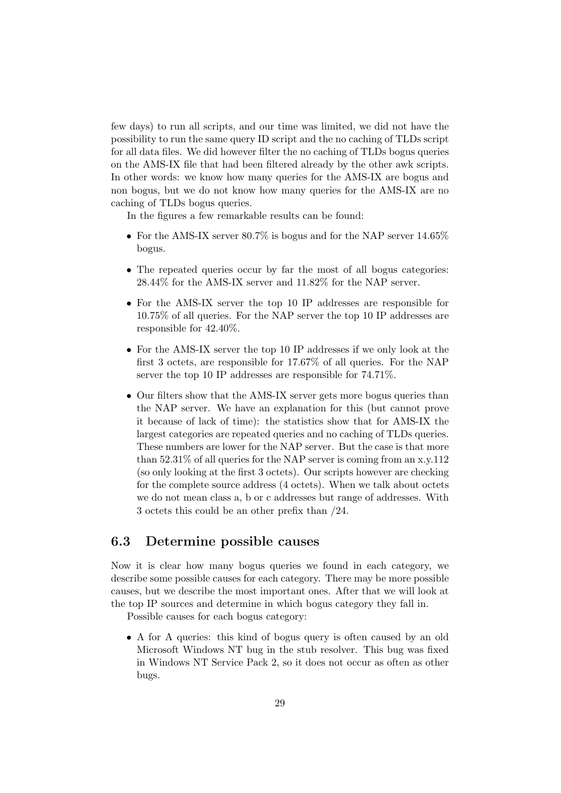few days) to run all scripts, and our time was limited, we did not have the possibility to run the same query ID script and the no caching of TLDs script for all data files. We did however filter the no caching of TLDs bogus queries on the AMS-IX file that had been filtered already by the other awk scripts. In other words: we know how many queries for the AMS-IX are bogus and non bogus, but we do not know how many queries for the AMS-IX are no caching of TLDs bogus queries.

In the figures a few remarkable results can be found:

- For the AMS-IX server 80.7% is bogus and for the NAP server  $14.65\%$ bogus.
- The repeated queries occur by far the most of all bogus categories: 28.44% for the AMS-IX server and 11.82% for the NAP server.
- For the AMS-IX server the top 10 IP addresses are responsible for 10.75% of all queries. For the NAP server the top 10 IP addresses are responsible for 42.40%.
- For the AMS-IX server the top 10 IP addresses if we only look at the first 3 octets, are responsible for 17.67% of all queries. For the NAP server the top 10 IP addresses are responsible for 74.71%.
- Our filters show that the AMS-IX server gets more bogus queries than the NAP server. We have an explanation for this (but cannot prove it because of lack of time): the statistics show that for AMS-IX the largest categories are repeated queries and no caching of TLDs queries. These numbers are lower for the NAP server. But the case is that more than  $52.31\%$  of all queries for the NAP server is coming from an x.v.112 (so only looking at the first 3 octets). Our scripts however are checking for the complete source address (4 octets). When we talk about octets we do not mean class a, b or c addresses but range of addresses. With 3 octets this could be an other prefix than /24.

### <span id="page-31-0"></span>6.3 Determine possible causes

Now it is clear how many bogus queries we found in each category, we describe some possible causes for each category. There may be more possible causes, but we describe the most important ones. After that we will look at the top IP sources and determine in which bogus category they fall in.

Possible causes for each bogus category:

• A for A queries: this kind of bogus query is often caused by an old Microsoft Windows NT bug in the stub resolver. This bug was fixed in Windows NT Service Pack 2, so it does not occur as often as other bugs.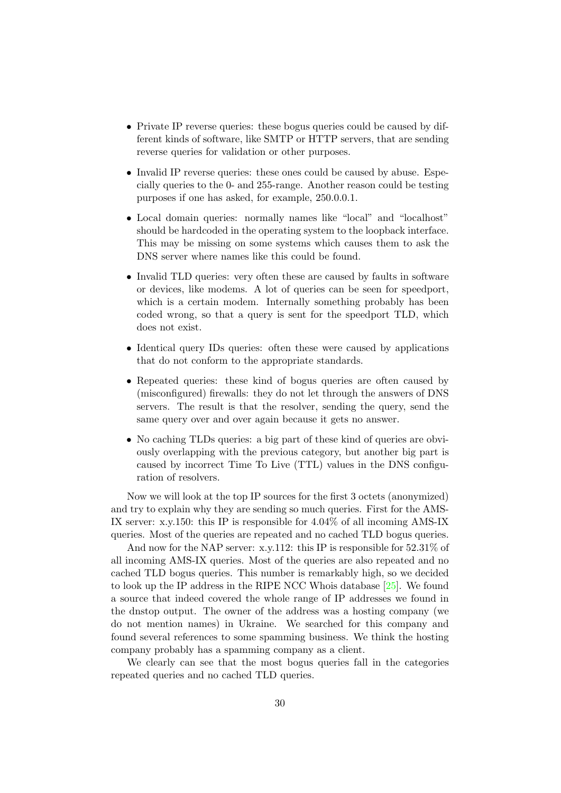- Private IP reverse queries: these bogus queries could be caused by different kinds of software, like SMTP or HTTP servers, that are sending reverse queries for validation or other purposes.
- Invalid IP reverse queries: these ones could be caused by abuse. Especially queries to the 0- and 255-range. Another reason could be testing purposes if one has asked, for example, 250.0.0.1.
- Local domain queries: normally names like "local" and "localhost" should be hardcoded in the operating system to the loopback interface. This may be missing on some systems which causes them to ask the DNS server where names like this could be found.
- Invalid TLD queries: very often these are caused by faults in software or devices, like modems. A lot of queries can be seen for speedport, which is a certain modem. Internally something probably has been coded wrong, so that a query is sent for the speedport TLD, which does not exist.
- Identical query IDs queries: often these were caused by applications that do not conform to the appropriate standards.
- Repeated queries: these kind of bogus queries are often caused by (misconfigured) firewalls: they do not let through the answers of DNS servers. The result is that the resolver, sending the query, send the same query over and over again because it gets no answer.
- No caching TLDs queries: a big part of these kind of queries are obviously overlapping with the previous category, but another big part is caused by incorrect Time To Live (TTL) values in the DNS configuration of resolvers.

Now we will look at the top IP sources for the first 3 octets (anonymized) and try to explain why they are sending so much queries. First for the AMS-IX server: x.y.150: this IP is responsible for 4.04% of all incoming AMS-IX queries. Most of the queries are repeated and no cached TLD bogus queries.

And now for the NAP server: x.y.112: this IP is responsible for 52.31% of all incoming AMS-IX queries. Most of the queries are also repeated and no cached TLD bogus queries. This number is remarkably high, so we decided to look up the IP address in the RIPE NCC Whois database [\[25\]](#page-38-13). We found a source that indeed covered the whole range of IP addresses we found in the dnstop output. The owner of the address was a hosting company (we do not mention names) in Ukraine. We searched for this company and found several references to some spamming business. We think the hosting company probably has a spamming company as a client.

We clearly can see that the most bogus queries fall in the categories repeated queries and no cached TLD queries.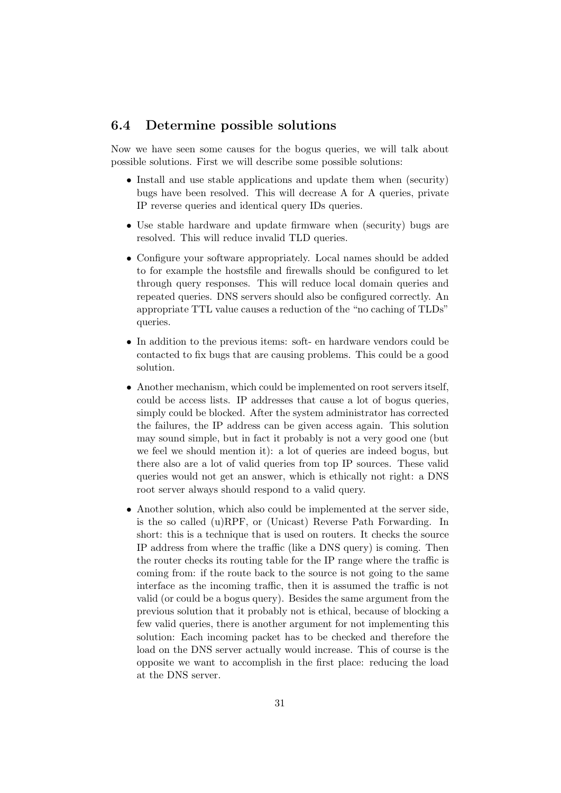### <span id="page-33-0"></span>6.4 Determine possible solutions

Now we have seen some causes for the bogus queries, we will talk about possible solutions. First we will describe some possible solutions:

- Install and use stable applications and update them when (security) bugs have been resolved. This will decrease A for A queries, private IP reverse queries and identical query IDs queries.
- Use stable hardware and update firmware when (security) bugs are resolved. This will reduce invalid TLD queries.
- Configure your software appropriately. Local names should be added to for example the hostsfile and firewalls should be configured to let through query responses. This will reduce local domain queries and repeated queries. DNS servers should also be configured correctly. An appropriate TTL value causes a reduction of the "no caching of TLDs" queries.
- In addition to the previous items: soft- en hardware vendors could be contacted to fix bugs that are causing problems. This could be a good solution.
- Another mechanism, which could be implemented on root servers itself, could be access lists. IP addresses that cause a lot of bogus queries, simply could be blocked. After the system administrator has corrected the failures, the IP address can be given access again. This solution may sound simple, but in fact it probably is not a very good one (but we feel we should mention it): a lot of queries are indeed bogus, but there also are a lot of valid queries from top IP sources. These valid queries would not get an answer, which is ethically not right: a DNS root server always should respond to a valid query.
- Another solution, which also could be implemented at the server side, is the so called (u)RPF, or (Unicast) Reverse Path Forwarding. In short: this is a technique that is used on routers. It checks the source IP address from where the traffic (like a DNS query) is coming. Then the router checks its routing table for the IP range where the traffic is coming from: if the route back to the source is not going to the same interface as the incoming traffic, then it is assumed the traffic is not valid (or could be a bogus query). Besides the same argument from the previous solution that it probably not is ethical, because of blocking a few valid queries, there is another argument for not implementing this solution: Each incoming packet has to be checked and therefore the load on the DNS server actually would increase. This of course is the opposite we want to accomplish in the first place: reducing the load at the DNS server.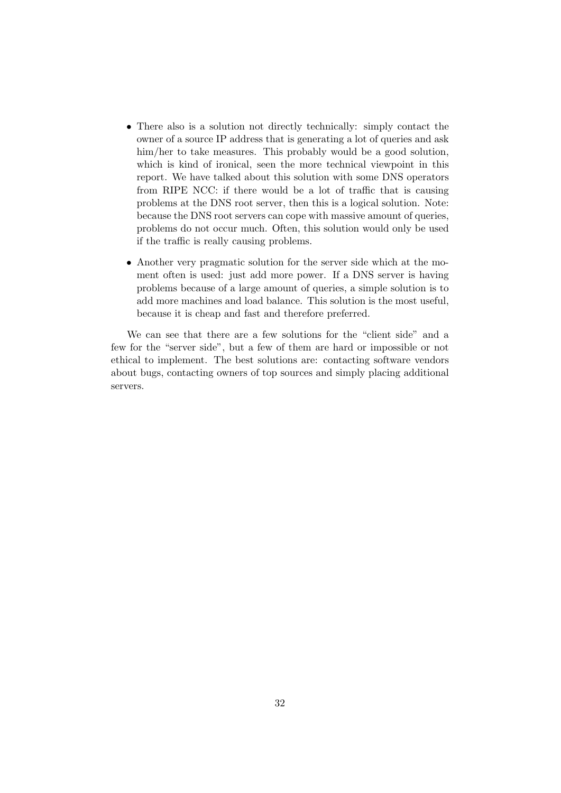- There also is a solution not directly technically: simply contact the owner of a source IP address that is generating a lot of queries and ask him/her to take measures. This probably would be a good solution, which is kind of ironical, seen the more technical viewpoint in this report. We have talked about this solution with some DNS operators from RIPE NCC: if there would be a lot of traffic that is causing problems at the DNS root server, then this is a logical solution. Note: because the DNS root servers can cope with massive amount of queries, problems do not occur much. Often, this solution would only be used if the traffic is really causing problems.
- Another very pragmatic solution for the server side which at the moment often is used: just add more power. If a DNS server is having problems because of a large amount of queries, a simple solution is to add more machines and load balance. This solution is the most useful, because it is cheap and fast and therefore preferred.

We can see that there are a few solutions for the "client side" and a few for the "server side", but a few of them are hard or impossible or not ethical to implement. The best solutions are: contacting software vendors about bugs, contacting owners of top sources and simply placing additional servers.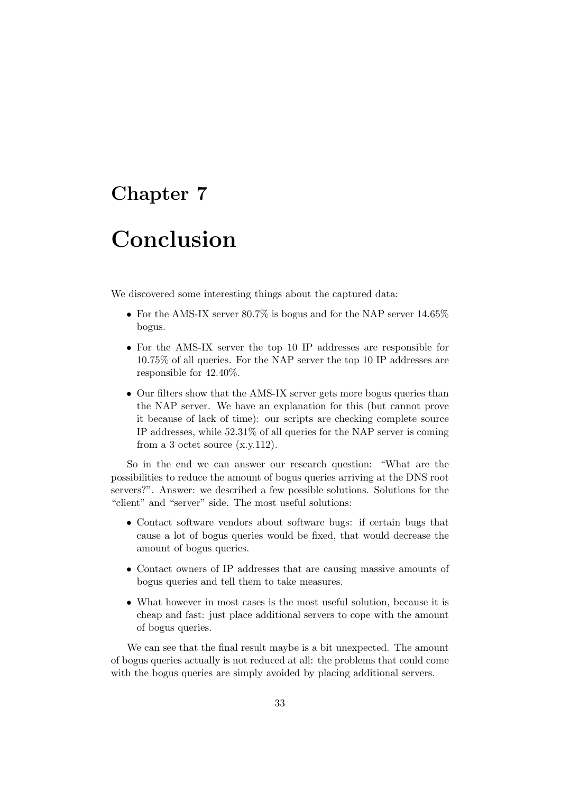# <span id="page-35-0"></span>Conclusion

We discovered some interesting things about the captured data:

- For the AMS-IX server  $80.7\%$  is bogus and for the NAP server  $14.65\%$ bogus.
- For the AMS-IX server the top 10 IP addresses are responsible for 10.75% of all queries. For the NAP server the top 10 IP addresses are responsible for 42.40%.
- Our filters show that the AMS-IX server gets more bogus queries than the NAP server. We have an explanation for this (but cannot prove it because of lack of time): our scripts are checking complete source IP addresses, while 52.31% of all queries for the NAP server is coming from a 3 octet source (x.y.112).

So in the end we can answer our research question: "What are the possibilities to reduce the amount of bogus queries arriving at the DNS root servers?". Answer: we described a few possible solutions. Solutions for the "client" and "server" side. The most useful solutions:

- Contact software vendors about software bugs: if certain bugs that cause a lot of bogus queries would be fixed, that would decrease the amount of bogus queries.
- Contact owners of IP addresses that are causing massive amounts of bogus queries and tell them to take measures.
- What however in most cases is the most useful solution, because it is cheap and fast: just place additional servers to cope with the amount of bogus queries.

We can see that the final result maybe is a bit unexpected. The amount of bogus queries actually is not reduced at all: the problems that could come with the bogus queries are simply avoided by placing additional servers.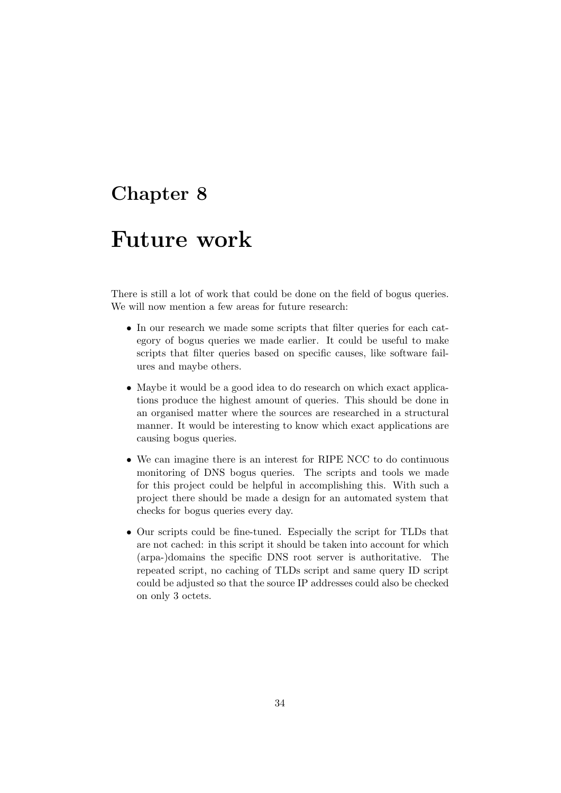## <span id="page-36-0"></span>Future work

There is still a lot of work that could be done on the field of bogus queries. We will now mention a few areas for future research:

- In our research we made some scripts that filter queries for each category of bogus queries we made earlier. It could be useful to make scripts that filter queries based on specific causes, like software failures and maybe others.
- Maybe it would be a good idea to do research on which exact applications produce the highest amount of queries. This should be done in an organised matter where the sources are researched in a structural manner. It would be interesting to know which exact applications are causing bogus queries.
- We can imagine there is an interest for RIPE NCC to do continuous monitoring of DNS bogus queries. The scripts and tools we made for this project could be helpful in accomplishing this. With such a project there should be made a design for an automated system that checks for bogus queries every day.
- Our scripts could be fine-tuned. Especially the script for TLDs that are not cached: in this script it should be taken into account for which (arpa-)domains the specific DNS root server is authoritative. The repeated script, no caching of TLDs script and same query ID script could be adjusted so that the source IP addresses could also be checked on only 3 octets.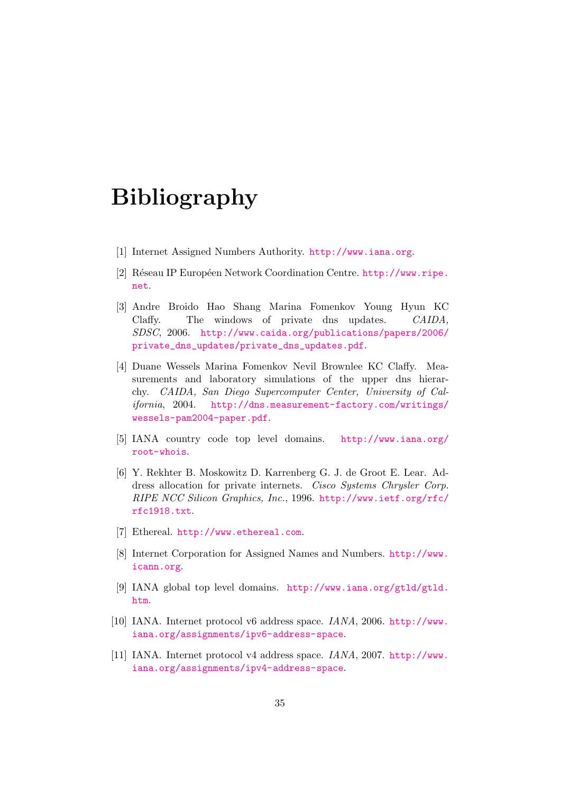# Bibliography

- <span id="page-37-1"></span>[1] Internet Assigned Numbers Authority. <http://www.iana.org>.
- <span id="page-37-2"></span>[2] Réseau IP Européen Network Coordination Centre. [http://www.ripe.](http://www.ripe.net) [net](http://www.ripe.net).
- <span id="page-37-6"></span>[3] Andre Broido Hao Shang Marina Fomenkov Young Hyun KC Claffy. The windows of private dns updates. CAIDA, SDSC, 2006. [http://www.caida.org/publications/papers/2006/](http://www.caida.org/publications/papers/2006/private_dns_updates/private_dns_updates.pdf) [private\\_dns\\_updates/private\\_dns\\_updates.pdf](http://www.caida.org/publications/papers/2006/private_dns_updates/private_dns_updates.pdf).
- <span id="page-37-5"></span>[4] Duane Wessels Marina Fomenkov Nevil Brownlee KC Claffy. Measurements and laboratory simulations of the upper dns hierarchy. CAIDA, San Diego Supercomputer Center, University of California, 2004. [http://dns.measurement-factory.com/writings/](http://dns.measurement-factory.com/writings/wessels-pam2004-paper.pdf) [wessels-pam2004-paper.pdf](http://dns.measurement-factory.com/writings/wessels-pam2004-paper.pdf).
- <span id="page-37-3"></span>[5] IANA country code top level domains. [http://www.iana.org/](http://www.iana.org/root-whois) [root-whois](http://www.iana.org/root-whois).
- <span id="page-37-8"></span>[6] Y. Rekhter B. Moskowitz D. Karrenberg G. J. de Groot E. Lear. Address allocation for private internets. Cisco Systems Chrysler Corp. RIPE NCC Silicon Graphics, Inc., 1996. [http://www.ietf.org/rfc/](http://www.ietf.org/rfc/rfc1918.txt) [rfc1918.txt](http://www.ietf.org/rfc/rfc1918.txt).
- <span id="page-37-7"></span>[7] Ethereal. <http://www.ethereal.com>.
- <span id="page-37-0"></span>[8] Internet Corporation for Assigned Names and Numbers. [http://www.](http://www.icann.org) [icann.org](http://www.icann.org).
- <span id="page-37-4"></span>[9] IANA global top level domains. [http://www.iana.org/gtld/gtld.](http://www.iana.org/gtld/gtld.htm) [htm](http://www.iana.org/gtld/gtld.htm).
- <span id="page-37-10"></span>[10] IANA. Internet protocol v6 address space. IANA, 2006. [http://www.](http://www.iana.org/assignments/ipv6-address-space) [iana.org/assignments/ipv6-address-space](http://www.iana.org/assignments/ipv6-address-space).
- <span id="page-37-9"></span>[11] IANA. Internet protocol v4 address space. IANA, 2007. [http://www.](http://www.iana.org/assignments/ipv4-address-space) [iana.org/assignments/ipv4-address-space](http://www.iana.org/assignments/ipv4-address-space).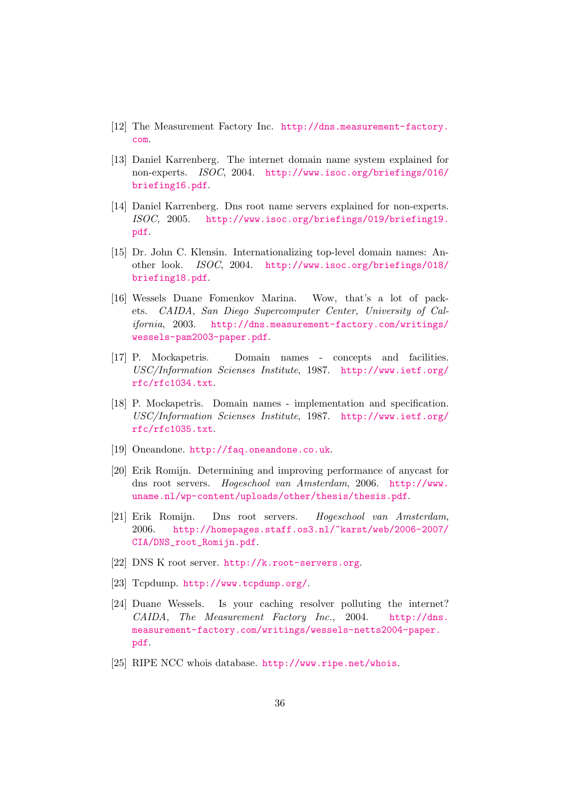- <span id="page-38-12"></span>[12] The Measurement Factory Inc. [http://dns.measurement-factory.](http://dns.measurement-factory.com) [com](http://dns.measurement-factory.com).
- <span id="page-38-1"></span>[13] Daniel Karrenberg. The internet domain name system explained for non-experts. ISOC, 2004. [http://www.isoc.org/briefings/016/](http://www.isoc.org/briefings/016/briefing16.pdf) [briefing16.pdf](http://www.isoc.org/briefings/016/briefing16.pdf).
- <span id="page-38-4"></span>[14] Daniel Karrenberg. Dns root name servers explained for non-experts. ISOC, 2005. [http://www.isoc.org/briefings/019/briefing19.](http://www.isoc.org/briefings/019/briefing19.pdf) [pdf](http://www.isoc.org/briefings/019/briefing19.pdf).
- <span id="page-38-6"></span>[15] Dr. John C. Klensin. Internationalizing top-level domain names: Another look. ISOC, 2004. [http://www.isoc.org/briefings/018/](http://www.isoc.org/briefings/018/briefing18.pdf) [briefing18.pdf](http://www.isoc.org/briefings/018/briefing18.pdf).
- <span id="page-38-0"></span>[16] Wessels Duane Fomenkov Marina. Wow, that's a lot of packets. CAIDA, San Diego Supercomputer Center, University of California, 2003. [http://dns.measurement-factory.com/writings/](http://dns.measurement-factory.com/writings/wessels-pam2003-paper.pdf) [wessels-pam2003-paper.pdf](http://dns.measurement-factory.com/writings/wessels-pam2003-paper.pdf).
- <span id="page-38-2"></span>[17] P. Mockapetris. Domain names - concepts and facilities. USC/Information Scienses Institute, 1987. [http://www.ietf.org/](http://www.ietf.org/rfc/rfc1034.txt) [rfc/rfc1034.txt](http://www.ietf.org/rfc/rfc1034.txt).
- <span id="page-38-3"></span>[18] P. Mockapetris. Domain names - implementation and specification. USC/Information Scienses Institute, 1987. [http://www.ietf.org/](http://www.ietf.org/rfc/rfc1035.txt) [rfc/rfc1035.txt](http://www.ietf.org/rfc/rfc1035.txt).
- <span id="page-38-5"></span>[19] Oneandone. <http://faq.oneandone.co.uk>.
- <span id="page-38-8"></span>[20] Erik Romijn. Determining and improving performance of anycast for dns root servers. Hogeschool van Amsterdam, 2006. [http://www.](http://www.uname.nl/wp-content/uploads/other/thesis/thesis.pdf) [uname.nl/wp-content/uploads/other/thesis/thesis.pdf](http://www.uname.nl/wp-content/uploads/other/thesis/thesis.pdf).
- <span id="page-38-7"></span>[21] Erik Romijn. Dns root servers. Hogeschool van Amsterdam, 2006. [http://homepages.staff.os3.nl/~karst/web/2006-2007/](http://homepages.staff.os3.nl/~karst/web/2006-2007/CIA/DNS_root_Romijn.pdf) [CIA/DNS\\_root\\_Romijn.pdf](http://homepages.staff.os3.nl/~karst/web/2006-2007/CIA/DNS_root_Romijn.pdf).
- <span id="page-38-10"></span>[22] DNS K root server. <http://k.root-servers.org>.
- <span id="page-38-11"></span>[23] Tcpdump. <http://www.tcpdump.org/>.
- <span id="page-38-9"></span>[24] Duane Wessels. Is your caching resolver polluting the internet? CAIDA, The Measurement Factory Inc., 2004. [http://dns.](http://dns.measurement-factory.com/writings/wessels-netts2004-paper.pdf) [measurement-factory.com/writings/wessels-netts2004-paper.](http://dns.measurement-factory.com/writings/wessels-netts2004-paper.pdf) [pdf](http://dns.measurement-factory.com/writings/wessels-netts2004-paper.pdf).
- <span id="page-38-13"></span>[25] RIPE NCC whois database. <http://www.ripe.net/whois>.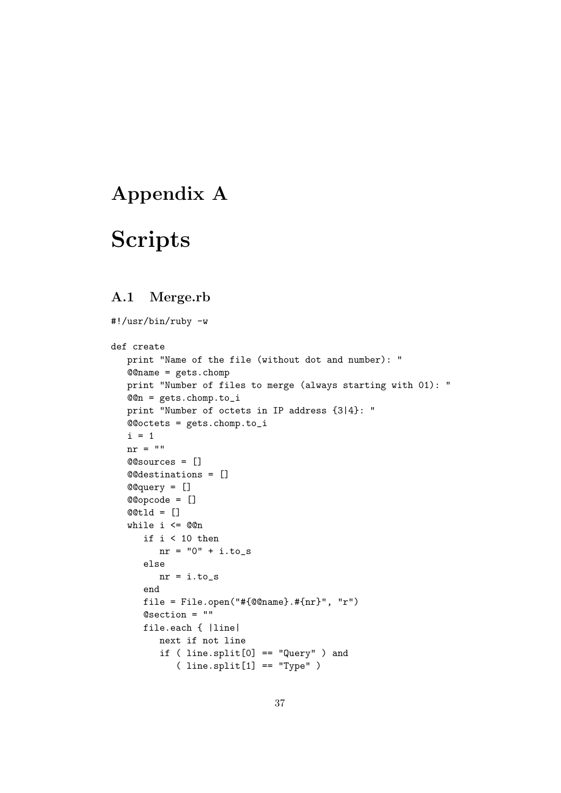## <span id="page-39-0"></span>Appendix A

# Scripts

## <span id="page-39-1"></span>A.1 Merge.rb

```
#!/usr/bin/ruby -w
def create
  print "Name of the file (without dot and number): "
  @@name = gets.chomp
  print "Number of files to merge (always starting with 01): "
  @@n = gets.chomp.to_i
  print "Number of octets in IP address {3|4}: "
  @@octets = gets.chomp.to_i
   i = 1nr = "@@sources = []
  @@destinations = []
  @@query = []
  @@opcode = []
  @@tld = []
   while i <= @@n
     if i < 10 then
        nr = "0" + i.to_selse
        nr = i.to_send
     file = File.open("#{@@name}.#{nr}", "r")
     @section = ""
     file.each { |line|
        next if not line
         if ( line.split[0] == "Query" ) and
            ( line.split[1] == "Type" )
```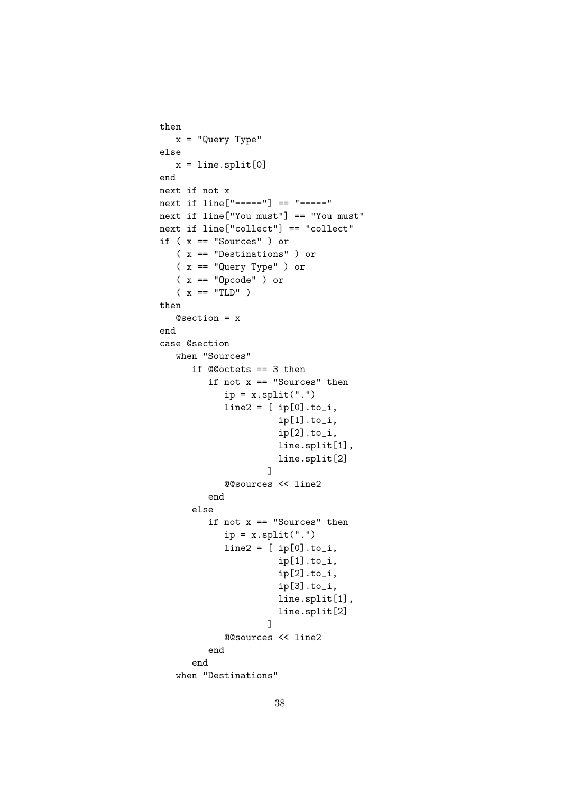```
then
   x = "Query Type"
else
   x = line.split[0]end
next if not x
next if line["---"] == "---"next if line["You must"] == "You must"
next if line["collect"] == "collect"
if ( x == "Sources" ) or
   ( x == "Destinations" ) or
   ( x == "Query Type" ) or
   ( x == "Opcode" ) or
   (x == "TLD" )then
   @section = x
end
case @section
   when "Sources"
      if @@octets == 3 then
         if not x == "Sources" then
            ip = x.split(" .")line2 = [ip[0].to_i,ip[1].to_i,
                      ip[2].to_i,
                      line.split[1],
                      line.split[2]
                    ]
            @@sources << line2
         end
      else
         if not x == "Sources" then
            ip = x.split(".")line2 = [ip[0].to_i,ip[1].to_i,
                      ip[2].to_i,
                      ip[3].to_i,
                      line.split[1],
                      line.split[2]
                    ]
            @@sources << line2
         end
      end
   when "Destinations"
```

```
38
```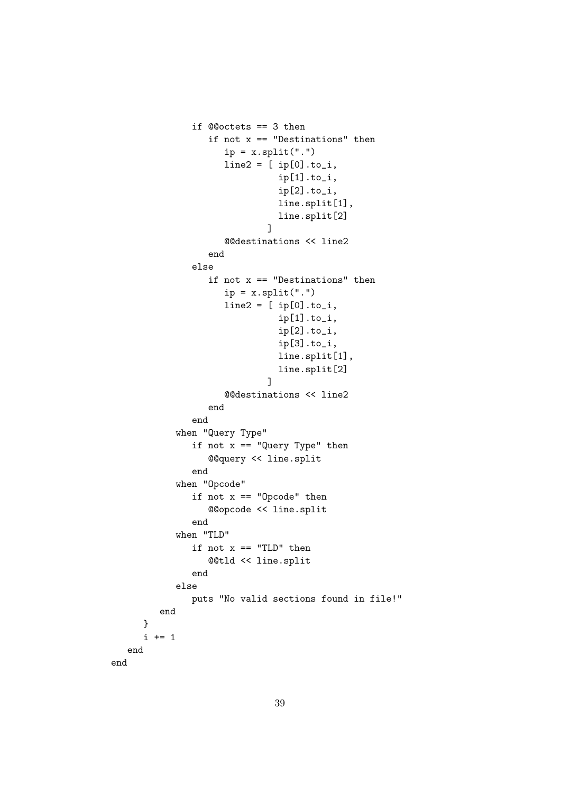```
if @@octets == 3 then
                  if not x == "Destinations" then
                     ip = x.split(".")line2 = [ip[0].to_i,ip[1].to_i,
                               ip[2].to_i,
                               line.split[1],
                               line.split[2]
                             ]
                     @@destinations << line2
                  end
               else
                  if not x == "Destinations" then
                     ip = x.split(".")line2 = [ip[0].to_i,ip[1].to_i,
                               ip[2].to_i,
                               ip[3].to_i,
                               line.split[1],
                               line.split[2]
                             ]
                     @@destinations << line2
                  end
               end
            when "Query Type"
               if not x == "Query Type" then@@query << line.split
               end
            when "Opcode"
               if not x == "Opcode" then
                  @@opcode << line.split
               end
            when "TLD"
               if not x == "TLD" then
                  @@tld << line.split
               end
            else
               puts "No valid sections found in file!"
         end
      }
      i + = 1end
end
```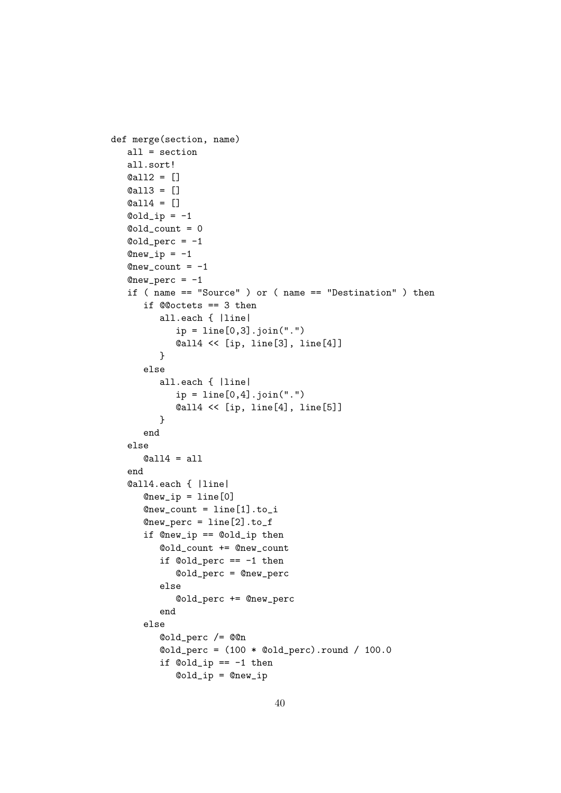```
def merge(section, name)
   all = section
   all.sort!
   @all2 = []
   @all3 = []
   @all4 = []
   \text{Gold}<sub>-ip</sub> = -1@old_count = 0
   \text{Gold\_perc} = -1@new_i p = -1@new_count = -1@new\_perc = -1if ( name == "Source" ) or ( name == "Destination" ) then
      if @@octets == 3 then
         all.each { |line|
             ip = line[0,3]. join(".")@all4 << [ip, line[3], line[4]]
         }
      else
         all.each { |line|
             ip = line[0,4]. join(".")
             @all4 << [ip, line[4], line[5]]
         }
      end
   else
      \text{Call4} = \text{all}end
   @all4.each { |line|
      @new_i p = line[0]@new_count = line[1].to_i@new\_perc = line[2].to_fif @new_ip == @old_ip then
         @old_count += @new_count
          if @old_perc == -1 then
             @old_perc = @new_perc
          else
             @old_perc += @new_perc
          end
      else
          @old_perc /= @@n
          @old_perc = (100 * @old_perc).round / 100.0
          if \text{Gold}<sub>-</sub>ip == -1 then
             @old_ip = @new_ip
```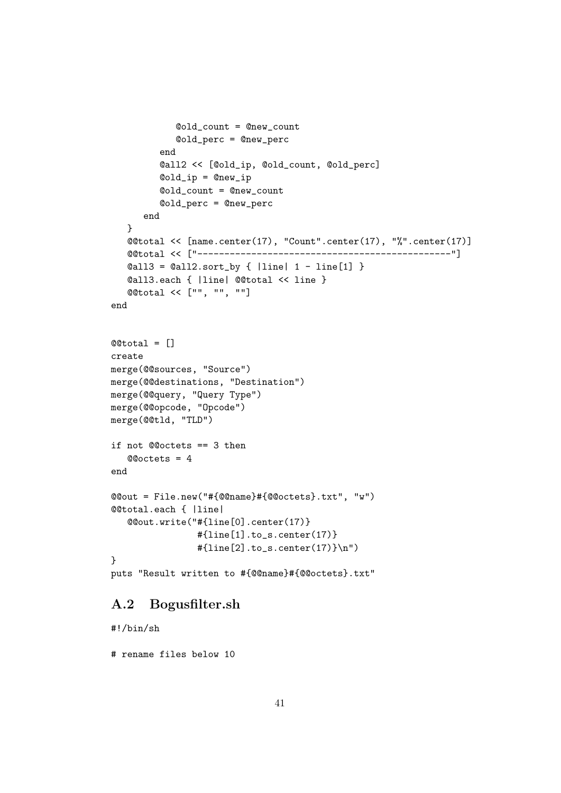```
@old_count = @new_count
            @old_perc = @new_perc
         end
         @all2 << [@old_ip, @old_count, @old_perc]
         @old_ip = @new_ip
         @old_count = @new_count
         @old_perc = @new_perc
      end
   }
   @@total << [name.center(17), "Count".center(17), "%".center(17)]
   @@total << ["-----------------------------------------------"]
   \text{Call3} = \text{Call2.sort_by} \{ \text{line} \mid 1 - \text{line}[1] \}@all3.each { |line| @@total << line }
   @@total << ["", "", ""]
end
@@total = []
create
merge(@@sources, "Source")
merge(@@destinations, "Destination")
merge(@@query, "Query Type")
merge(@@opcode, "Opcode")
merge(@@tld, "TLD")
if not @@octets == 3 then
   @@octets = 4
end
@@out = File.new("#{@@name}#{@@octets}.txt", "w")
@@total.each { |line|
   @@out.write("#{line[0].center(17)}
                 #{line[1].to_s.center(17)}
                 #{line[2].to_s.center(17)}\n")
}
puts "Result written to #{@@name}#{@@octets}.txt"
```
### <span id="page-43-0"></span>A.2 Bogusfilter.sh

#!/bin/sh

# rename files below 10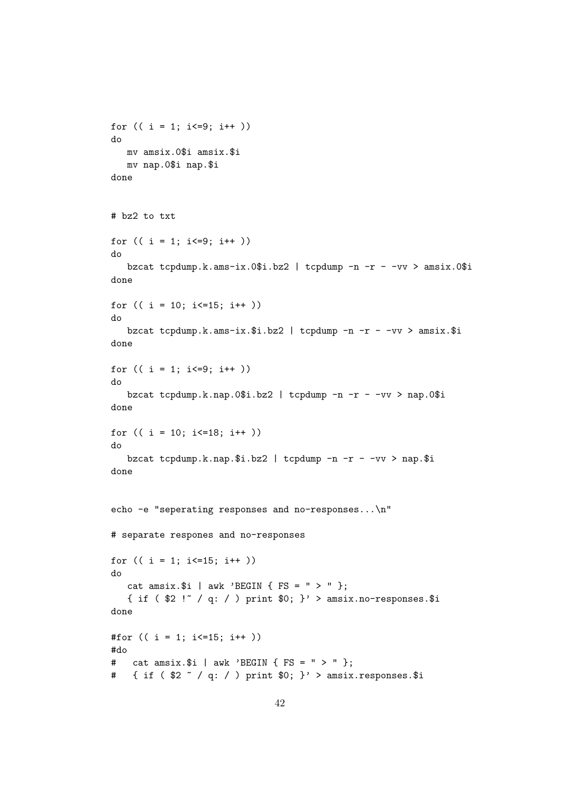```
for (( i = 1; i \le 9; i++)do
   mv amsix.0$i amsix.$i
   mv nap.0$i nap.$i
done
# bz2 to txt
for (( i = 1; i \le 9; i++)do
   bzcat tcpdump.k.ams-ix.0$i.bz2 | tcpdump -n -r - -vv > amsix.0$i
done
for (( i = 10; i \le 15; i++)do
   bzcat tcpdump.k.ams-ix.$i.bz2 | tcpdump -n -r - -vv > amsix.$i
done
for (( i = 1; i \le 9; i++)do
   bzcat tcpdump.k.nap.0$i.bz2 | tcpdump -n -r - -vv > nap.0$i
done
for (( i = 10; i<=18; i++ ))
do
   bzcat tcpdump.k.nap.$i.bz2 | tcpdump -n -r - -vv > nap.$i
done
echo -e "seperating responses and no-responses...\n"
# separate respones and no-responses
for (( i = 1; i \le 15; i++)do
   cat amsix.$i | awk 'BEGIN { FS = " > " } ;
   { if ( $2 !" / q: / ) print $0; }' > amsix.no-responses.$i
done
#for (( i = 1; i \le 15; i++)#do
# cat amsix.$i | awk 'BEGIN { FS = " > " };# \{ \text{if } (\$2 \text{ }^{\sim}/\text{ }q: / \text{)} \text{ print } \$0; \}' > amsix.responses.$i
```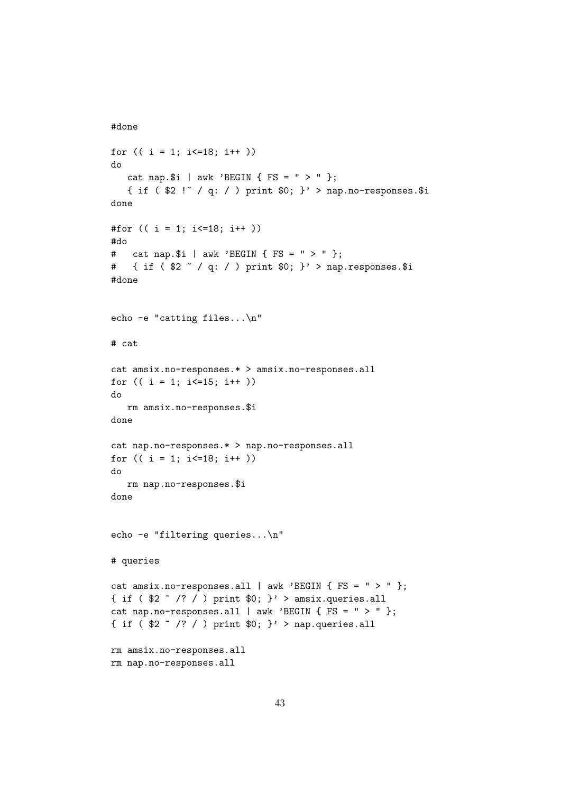```
#done
```

```
for (( i = 1; i \le 18; i++)do
   cat nap.$i | awk 'BEGIN { FS = " > " };
   { if ( $2 !~ / q: / ) print $0; }' > nap.no-responses.$i
done
#for (( i = 1; i<=18; i++ ))
#do
# cat nap.$i | awk 'BEGIN { FS = " > " };
# { if ($2 \degree / q: / ) print $0; }' > nap.responses.$i
#done
echo -e "catting files...\n"
# cat
cat amsix.no-responses.* > amsix.no-responses.all
for (( i = 1; i<=15; i++ ))
do
   rm amsix.no-responses.$i
done
cat nap.no-responses.* > nap.no-responses.all
for (( i = 1; i \le 18; i++)do
   rm nap.no-responses.$i
done
echo -e "filtering queries...\n"
# queries
cat amsix.no-responses.all | awk 'BEGIN \{ FS = " > " };{ if ( $2 \tilde{ } /? / ) print $0; }' > amsix.queries.all
cat nap.no-responses.all | awk 'BEGIN { FS = " > " };
{ if ( $2 \tilde{ } /? / ) print $0; }' > nap.queries.all
rm amsix.no-responses.all
rm nap.no-responses.all
```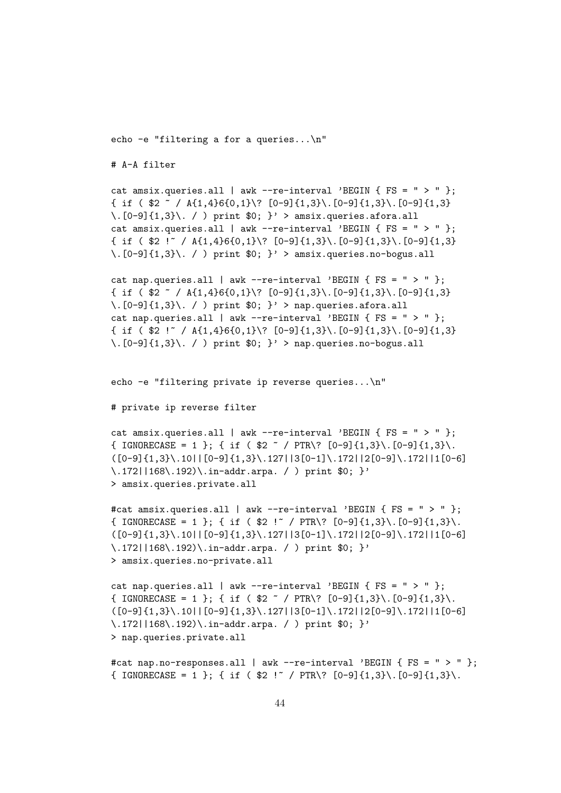echo -e "filtering a for a queries...\n"

# A-A filter

```
cat amsix.queries.all | awk --re-interval 'BEGIN { FS = " > " };
\{ \text{ if } (\$2 \text{ } ^\circ \text{/ } A\{1,4\}6\{0,1\} \} [0-9]\{1,3\}, [0-9]\{1,3\}, [0-9]\{1,3\}\langle .[0-9]\{1,3\}\rangle. / ) print $0; }' > amsix.queries.afora.all
cat amsix.queries.all | awk --re-interval 'BEGIN { FS = " > " };
\{ if ( \2 ! \}/ A\{1,4\}6\{0,1\}\? [0-9]\{1,3\}\.[0-9]\{1,3\}\.[0-9]\{1,3\}\.[0-9]{1,3}\\. / ) print $0; }' > amsix.queries.no-bogus.all
```

```
cat nap.queries.all | awk --re-interval 'BEGIN { FS = " > " };
\{ \text{ if } (\$2 \text{ } ^\circ / A\{1,4\}6\{0,1\} \ [0-9]\{1,3\} \. [0-9]\{1,3\}. [0-9]\{1,3\}\langle .[0-9]\{1,3\}\rangle. / ) print $0; } > nap.queries.afora.all
cat nap.queries.all | awk --re-interval 'BEGIN { FS = " > " };
\{ if ( \2 ! \}/ A\{1,4\}6\{0,1\}\? [0-9]\{1,3\}\.[0-9]\{1,3\}\.[0-9]\{1,3\}\langle .[0-9]\{1,3\}\rangle. / ) print $0; } > nap.queries.no-bogus.all
```
echo -e "filtering private ip reverse queries...\n"

```
# private ip reverse filter
```

```
cat amsix.queries.all | awk --re-interval 'BEGIN { FS = " > " };
{ IGNORECASE = 1 }; { if ( $2 \text{ } ^{\circ} / PTR\? [0-9]{1,3}\.[0-9]{1,3}\.
([0-9]{1,3}\.10||[0-9]{1,3}\.127||3[0-1]\.172||2[0-9]\.172||1[0-6]\.172||168\.192)\.in-addr.arpa. / ) print $0; }'
> amsix.queries.private.all
```

```
#cat amsix.queries.all | awk --re-interval 'BEGIN { FS = " > " };
{ IGNORECASE = 1 }; { if ( $2 ' '' / PTR\? [0-9]{1,3}\. [0-9]{1,3}\.
([0-9]{1,3}\.10||[0-9]{1,3}\.127||3[0-1]\,.172||2[0-9]\,.172||1[0-6]\.172||168\.192)\.in-addr.arpa. / ) print $0; }'
> amsix.queries.no-private.all
```

```
cat nap.queries.all | awk --re-interval 'BEGIN { FS = " > " };
{ IGNORECASE = 1 }; { if ( $2 \degree / PTR\? [0-9]{1,3}\.[0-9]{1,3}\.
([0-9]{1,3}\.\10||[0-9]{1,3}\.\127||3[0-1]\.\172||2[0-9]\.\172||1[0-6]\.172||168\.192)\.in-addr.arpa. / ) print $0; }'
> nap.queries.private.all
```

```
#cat nap.no-responses.all | awk --re-interval 'BEGIN \{ FS = " > " \};{ IGNORECASE = 1 }; { if ( $2 ' '' / PTR\? [0-9]{1,3}\. [0-9]{1,3}\.
```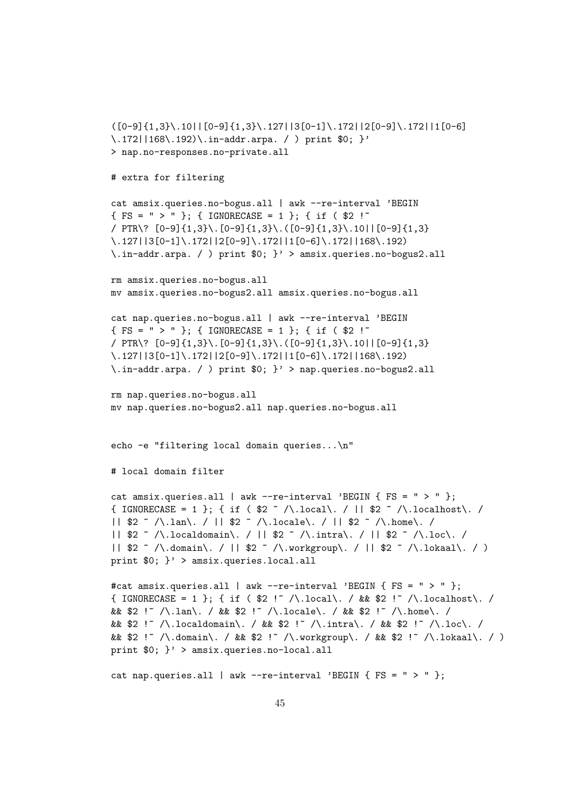```
([0-9]{1,3}\.10||[0-9]{1,3}\.127||3[0-1]\.172||2[0-9]\.172||1[0-6]
\172||168\r192\rangle\ .in-addr.arpa. / ) print $0; }'
> nap.no-responses.no-private.all
# extra for filtering
cat amsix.queries.no-bogus.all | awk --re-interval 'BEGIN
{ FS = " > " }; { IGNORECASE = 1 }; { if ( $2 !~
/ PTR\? [0-9]{1,3}\.[0-9]{1,3}\.([0-9]{1,3}\.10||[0-9]{1,3}
\.127||3[0-1]\.172||2[0-9]\.172||1[0-6]\.172||168\.192)
\.in-addr.arpa. / ) print $0; }' > amsix.queries.no-bogus2.all
rm amsix.queries.no-bogus.all
mv amsix.queries.no-bogus2.all amsix.queries.no-bogus.all
cat nap.queries.no-bogus.all | awk --re-interval 'BEGIN
{ FS = " > " }; { IGNORECASE = 1 }; { if ( $2 !~
/ PTR\? [0-9]{1,3}\.[0-9]{1,3}\.([0-9]{1,3}\.10||[0-9]{1,3}
\.127||3[0-1]\.172||2[0-9]\.172||1[0-6]\.172||168\.192)
\.in-addr.arpa. / ) print $0; }' > nap.queries.no-bogus2.all
rm nap.queries.no-bogus.all
mv nap.queries.no-bogus2.all nap.queries.no-bogus.all
echo -e "filtering local domain queries...\n"
# local domain filter
cat amsix.queries.all | awk --re-interval 'BEGIN { FS = " > " } ;
{ IGNORECASE = 1 }; { if ( 2^{\circ} /\.local\. / || 2^{\circ} /\.localhost\. /
|| $2 ~ /\.lan\. / || $2 ~ /\.locale\. / || $2 ~ /\.home\. /
|| $2 ~ /\.localdomain\. / || $2 ~ /\.intra\. / || $2 ~ /\.loc\. /
|| $2 ~ /\.domain\. / || $2 ~ /\.workgroup\. / || $2 ~ /\.lokaal\. / )
print $0; }' > amsix.queries.local.all
#cat amsix.queries.all | awk --re-interval 'BEGIN { FS = " > " };{ IGNORECASE = 1 }; { if ( $2 !" /\.local\. / && $2 !" /\.localhost\. /
&& $2 !~ /\.lan\. / && $2 !~ /\.locale\. / && $2 !~ /\.home\. /
&& $2 !~ /\.localdomain\. / && $2 !~ /\.intra\. / && $2 !~ /\.loc\. /
&& $2 !~ /\.domain\. / && $2 !~ /\.workgroup\. / && $2 !~ /\.lokaal\. / )
print $0; }' > amsix.queries.no-local.all
cat nap.queries.all | awk --re-interval 'BEGIN { FS = " > " };
```

```
45
```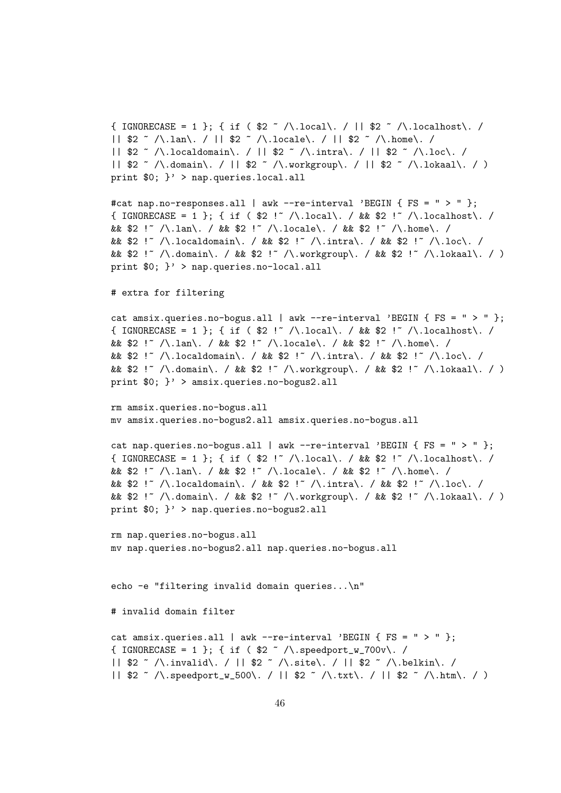```
{ IGNORECASE = 1 }; { if ( $2 ~ /\.local\. / || $2 ~ /\.localhost\. /
|| $2 ~ /\.lan\. / || $2 ~ /\.locale\. / || $2 ~ /\.home\. /
|| $2 ~ /\.localdomain\. / || $2 ~ /\.intra\. / || $2 ~ /\.loc\. /
|| $2 \sim /\.domain\. / || $2 \sim /\.workgroup\. / || $2 \sim /\.lokaal\. / )
print $0; }' > nap.queries.local.all
#cat nap.no-responses.all | awk --re-interval 'BEGIN { FS = " > " };
{ IGNORECASE = 1 }; { if ( 2!^{\circ} /\.local\. / && 2!^{\circ} /\.localhost\. /
&& $2 !" /\.lan\. / && $2 !" /\.locale\. / && $2 !" /\.home\. /
&& $2 !~ /\.localdomain\. / && $2 !~ /\.intra\. / && $2 !~ /\.loc\. /
&& $2 !~ /\.domain\. / && $2 !~ /\.workgroup\. / && $2 !~ /\.lokaal\. / )
print $0; }' > nap.queries.no-local.all
# extra for filtering
cat amsix.queries.no-bogus.all | awk --re-interval 'BEGIN { FS = " > " };
{ IGNORECASE = 1 }; { if ( $2 !~ /\.local\. / && $2 !~ /\.localhost\. /
&& $2 !" /\.lan\. / && $2 !" /\.locale\. / && $2 !" /\.home\. /
&& $2 !~ /\.localdomain\. / && $2 !~ /\.intra\. / && $2 !~ /\.loc\. /
&& $2 !~ /\.domain\. / && $2 !~ /\.workgroup\. / && $2 !~ /\.lokaal\. / )
print $0; }' > amsix.queries.no-bogus2.all
rm amsix.queries.no-bogus.all
mv amsix.queries.no-bogus2.all amsix.queries.no-bogus.all
cat nap.queries.no-bogus.all | awk --re-interval 'BEGIN { FS = " > " };{ IGNORECASE = 1 }; { if ( $2 !" /\.local\. / && $2 !" /\.localhost\. /
&& $2 !~ /\.lan\. / && $2 !~ /\.locale\. / && $2 !~ /\.home\. /
&& $2 !~ /\.localdomain\. / && $2 !~ /\.intra\. / && $2 !~ /\.loc\. /
&& $2 !~ /\.domain\. / && $2 !~ /\.workgroup\. / && $2 !~ /\.lokaal\. / )
print $0; }' > nap.queries.no-bogus2.all
rm nap.queries.no-bogus.all
mv nap.queries.no-bogus2.all nap.queries.no-bogus.all
echo -e "filtering invalid domain queries...\n"
# invalid domain filter
cat amsix.queries.all | awk --re-interval 'BEGIN { FS = " > " };
{ IGNORECASE = 1 }; { if ( $2 ~ /\.speedport_w_700v\. /
|| $2 ~ /\.invalid\. / || $2 ~ /\.site\. / || $2 ~ /\.belkin\. /
```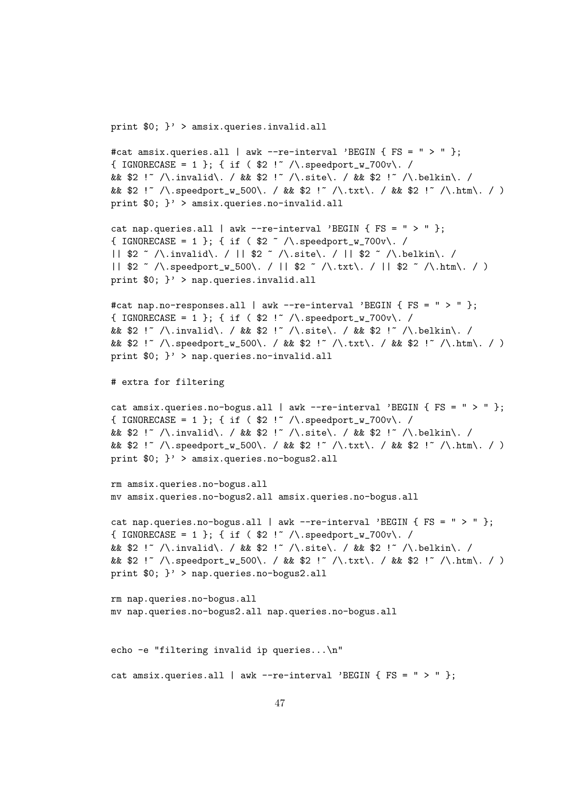print \$0; }' > amsix.queries.invalid.all

```
#cat amsix.queries.all | awk --re-interval 'BEGIN { FS = " > " };{ IGNORECASE = 1 }; { if ( $2 !" /\.speedport_w_700v\. /
&& $2 !~ /\.invalid\. / && $2 !~ /\.site\. / && $2 !~ /\.belkin\. /
&& $2 !~ /\.speedport_w_500\. / && $2 !~ /\.txt\. / && $2 !~ /\.htm\. / )
print $0; }' > amsix.queries.no-invalid.all
cat nap.queries.all | awk --re-interval 'BEGIN { FS = " > " };{ IGNORECASE = 1 }; { if ( $2 \sim /\.speedport_w_700v\. /
|| $2 ~ /\.invalid\. / || $2 ~ /\.site\. / || $2 ~ /\.belkin\. /
|| $2 \sim /\.speedport_w_500\. / || $2 \sim /\.txt\. / || $2 \sim /\.htm\. / )
print $0; }' > nap.queries.invalid.all
#cat nap.no-responses.all | awk --re-interval 'BEGIN { FS = " > " };{ IGNORECASE = 1 }; { if ( $2 !" /\.speedport_w_700v\. /
&& $2 !~ /\.invalid\. / && $2 !~ /\.site\. / && $2 !~ /\.belkin\. /
&& $2 !~ /\.speedport_w_500\. / && $2 !~ /\.txt\. / && $2 !~ /\.htm\. / )
print $0; }' > nap.queries.no-invalid.all
# extra for filtering
cat amsix.queries.no-bogus.all | awk --re-interval 'BEGIN { FS = " > " };
{ IGNORECASE = 1 }; { if ( $2 !" /\.speedport_w_700v\. /
&& $2 !~ /\.invalid\. / && $2 !~ /\.site\. / && $2 !~ /\.belkin\. /
&& $2 !~ /\.speedport_w_500\. / && $2 !~ /\.txt\. / && $2 !~ /\.htm\. / )
print $0; }' > amsix.queries.no-bogus2.all
rm amsix.queries.no-bogus.all
mv amsix.queries.no-bogus2.all amsix.queries.no-bogus.all
cat nap.queries.no-bogus.all | awk --re-interval 'BEGIN { FS = " > " };
{ IGNORECASE = 1 }; { if ( $2 !" /\.speedport_w_700v\. /
&& $2 !~ /\.invalid\. / && $2 !~ /\.site\. / && $2 !~ /\.belkin\. /
&& $2 !~ /\.speedport_w_500\. / && $2 !~ /\.txt\. / && $2 !~ /\.htm\. / )
print 0: \}' > nap.queries.no-bogus2.all
rm nap.queries.no-bogus.all
mv nap.queries.no-bogus2.all nap.queries.no-bogus.all
echo -e "filtering invalid ip queries...\n"
cat amsix.queries.all | awk --re-interval 'BEGIN { FS = " > " };
```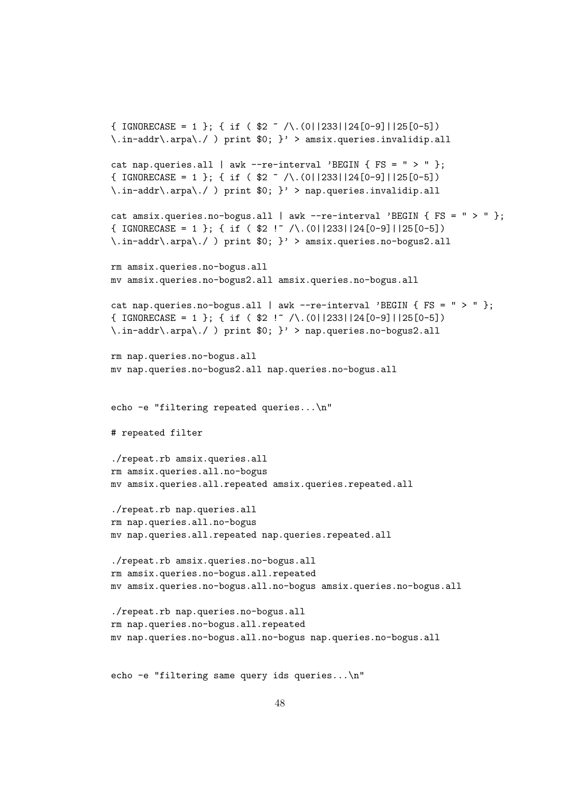```
\{ IGNORECASE = 1 \}; \{ if \ \ \frac{2}{\sqrt{2}} \sqrt{(0|233|124[0-9]|125[0-5])}\infty.in-addr\langle .arpa \rangle./ ) print $0; }' > amsix.queries.invalidip.all
cat nap.queries.all | awk --re-interval 'BEGIN { FS = " > " };
\{ IGNORECASE = 1 \}; \{ if ( \2 ~ /\.(0||233||24[0-9]||25[0-5])
\.in-addr\.arpa\./ ) print $0; }' > nap.queries.invalidip.all
cat amsix.queries.no-bogus.all | awk --re-interval 'BEGIN { FS = " > " };
\{ IGNORECASE = 1 }; \{ if ( \2 ! ~ /\.(0||233||24[0-9]||25[0-5])
\.in-addr\.arpa\./ ) print $0; }' > amsix.queries.no-bogus2.all
rm amsix.queries.no-bogus.all
mv amsix.queries.no-bogus2.all amsix.queries.no-bogus.all
cat nap.queries.no-bogus.all | awk --re-interval 'BEGIN { FS = " > " };
\{ IGNORECASE = 1 \}; \{ if ( \2 ! ~ /\.(0||233||24[0-9]||25[0-5])
\infty.in-addr\infty.arpa\setminus./ ) print $0; }' > nap.queries.no-bogus2.all
rm nap.queries.no-bogus.all
mv nap.queries.no-bogus2.all nap.queries.no-bogus.all
echo -e "filtering repeated queries...\n"
# repeated filter
./repeat.rb amsix.queries.all
rm amsix.queries.all.no-bogus
mv amsix.queries.all.repeated amsix.queries.repeated.all
./repeat.rb nap.queries.all
rm nap.queries.all.no-bogus
mv nap.queries.all.repeated nap.queries.repeated.all
./repeat.rb amsix.queries.no-bogus.all
rm amsix.queries.no-bogus.all.repeated
mv amsix.queries.no-bogus.all.no-bogus amsix.queries.no-bogus.all
./repeat.rb nap.queries.no-bogus.all
rm nap.queries.no-bogus.all.repeated
mv nap.queries.no-bogus.all.no-bogus nap.queries.no-bogus.all
```

```
echo -e "filtering same query ids queries...\n"
```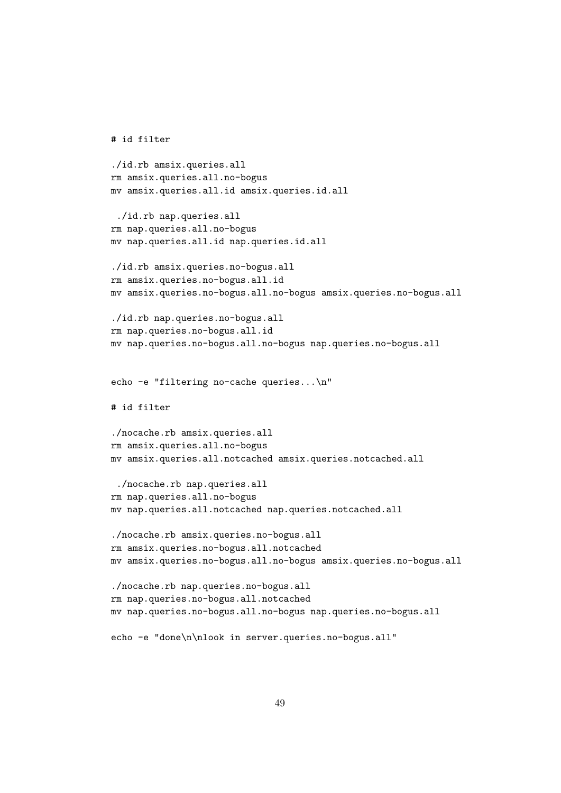```
./id.rb amsix.queries.all
rm amsix.queries.all.no-bogus
mv amsix.queries.all.id amsix.queries.id.all
 ./id.rb nap.queries.all
rm nap.queries.all.no-bogus
mv nap.queries.all.id nap.queries.id.all
./id.rb amsix.queries.no-bogus.all
rm amsix.queries.no-bogus.all.id
mv amsix.queries.no-bogus.all.no-bogus amsix.queries.no-bogus.all
./id.rb nap.queries.no-bogus.all
rm nap.queries.no-bogus.all.id
mv nap.queries.no-bogus.all.no-bogus nap.queries.no-bogus.all
echo -e "filtering no-cache queries...\n"
# id filter
./nocache.rb amsix.queries.all
rm amsix.queries.all.no-bogus
mv amsix.queries.all.notcached amsix.queries.notcached.all
 ./nocache.rb nap.queries.all
rm nap.queries.all.no-bogus
mv nap.queries.all.notcached nap.queries.notcached.all
./nocache.rb amsix.queries.no-bogus.all
rm amsix.queries.no-bogus.all.notcached
mv amsix.queries.no-bogus.all.no-bogus amsix.queries.no-bogus.all
./nocache.rb nap.queries.no-bogus.all
rm nap.queries.no-bogus.all.notcached
mv nap.queries.no-bogus.all.no-bogus nap.queries.no-bogus.all
echo -e "done\n\nlook in server.queries.no-bogus.all"
```
# id filter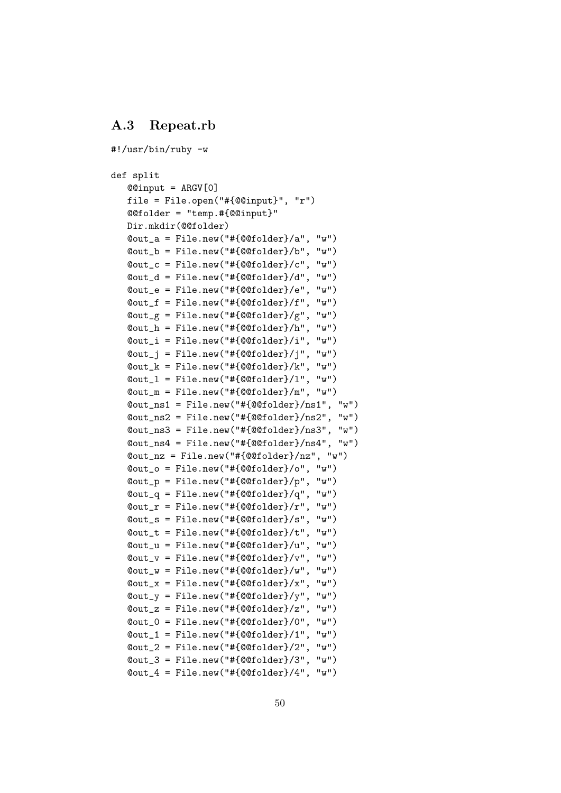### <span id="page-52-0"></span>A.3 Repeat.rb

```
#!/usr/bin/ruby -w
def split
   @@input = ARGV[0]
   file = File.open("#{@@input}", "r")
   @@folder = "temp.#{@@input}"
   Dir.mkdir(@@folder)
   @out_a = File.new("#{@@folder}/a", "w")
   @out_b = File.new("#{@@folder}/b", "w")
   @out_c = File.new("#{@@folder}/c", "w")
    @out_d = File.new("#{@@folder}/d", "w")
    @out_e = File.new("#{@@folder}/e", "w")
   @out_f = File.new("#{@@folder}/f", "w")
   \texttt{Count\_g} = \texttt{File.new("#[@folder]/g", "w")}@out_h = File.new("#{@@folder}/h", "w")
    @out_i = File.new("#{@@folder}/i", "w")
    @out_j = File.new("#{@@folder}/j", "w")
   \texttt{Count\_k} = \texttt{File.new}("# \{\texttt{QQfolder}\}/k", "W")@out_l = File.new("#{@@folder}/l", "w")
   @out_m = File.new("#{@@folder}/m", "w")
    @out_ns1 = File.new("#{@@folder}/ns1", "w")
    @out_ns2 = File.new("#{@@folder}/ns2", "w")
    @out_ns3 = File.new("#{@@folder}/ns3", "w")
    @out_ns4 = File.new("#{@@folder}/ns4", "w")
   @out_nz = File.new("#{@@folder}/nz", "w")
    @out_o = File.new("#{@@folder}/o", "w")
    @out_p = File.new("#{@@folder}/p", "w")
    \texttt{Count_q} = \texttt{File.new}("# \{\texttt{@folder}\}/q", "w")\texttt{Quut}_r = \texttt{File.new}("# \{\texttt{QOfolder}} / r", "w")@out_s = File.new("#{@@folder}/s", "w")
    @out_t = File.new("#{@@folder}/t", "w")
   \texttt{Count_u} = \texttt{File.new}("# \{\texttt{@folder}\}/u", "w")@out_v = File.new("#{@@folder}/v", "w")
    \texttt{Count_w} = \texttt{File.new}("# \{\texttt{@folder}}/w", "w")\texttt{Quot}_x = \texttt{File.new}("# \{\texttt{QQfolder}\}/x", "w")\texttt{Count}_y = \texttt{File.new("#{@folder}/y", "w")}\texttt{Quut}_Z = \texttt{File.new}("# \{\texttt{QQfolder}\}/z", \texttt{w"})\texttt{Count_0} = \texttt{File.new}("# \{\texttt{@folder}}/0", "w")\texttt{Count\_1} = \texttt{File.new}("# \{\texttt{@folder}} / 1", "w")\texttt{Count2} = \texttt{File.new}("# \{\texttt{@folder}\}/2", "w")\texttt{Count_3} = \texttt{File.new}("# \{\texttt{@folder}} / 3", "w")\texttt{Count}_4 = \texttt{File.new}("# \{\texttt{@folder}\}/4", "w")
```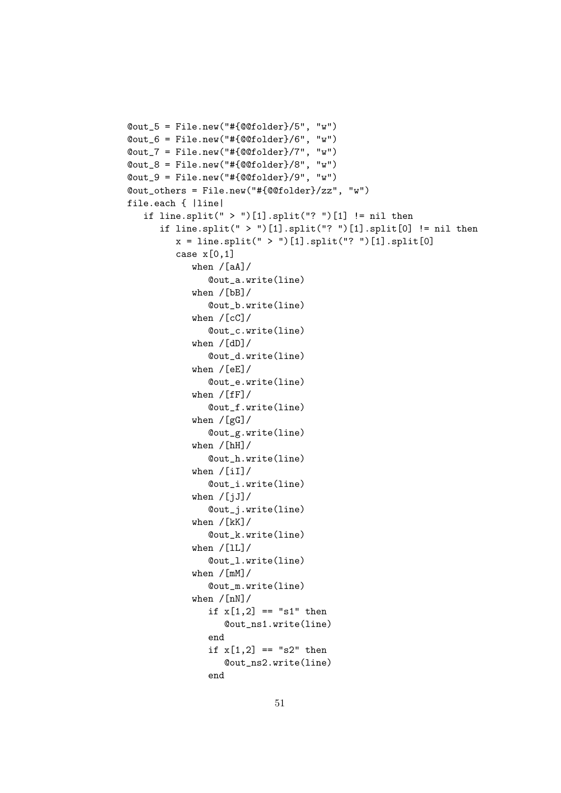```
@out_5 = File.new("#{@@folder}/5", "w")
@out_6 = File.new("#{@@folder}/6", "w")
@out_7 = File.new("#{@@folder}/7", "w")
@out_8 = File.new("#{@@folder}/8", "w")
@out_9 = File.new("#{@@folder}/9", "w")
@out_others = File.new("#{@@folder}/zz", "w")
file.each { |line|
   if line.split(" > ")[1].split("? ")[1] != nil then
      if line.split(" > ")[1].split("? ")[1].split[0] != nil then
         x = line.split(" > ")[1].split("? ")[1].split[0]case x[0,1]when /[aA]/@out_a.write(line)
            when /[bB]/
               @out_b.write(line)
            when /[cC]/
               @out_c.write(line)
            when /[dD]/@out_d.write(line)
            when /[eE]/@out_e.write(line)
            when /[fF]/@out_f.write(line)
            when /[gG]/@out_g.write(line)
            when /[hH]/@out_h.write(line)
            when /[iI]/@out_i.write(line)
            when /[iJ]/@out_j.write(line)
            when /[kK]/@out_k.write(line)
            when /[1L]/@out_l.write(line)
            when /[mM]/
               @out_m.write(line)
            when /[nN]/if x[1,2] == "s1" then@out_ns1.write(line)
               end
               if x[1,2] == "s2" then@out_ns2.write(line)
               end
```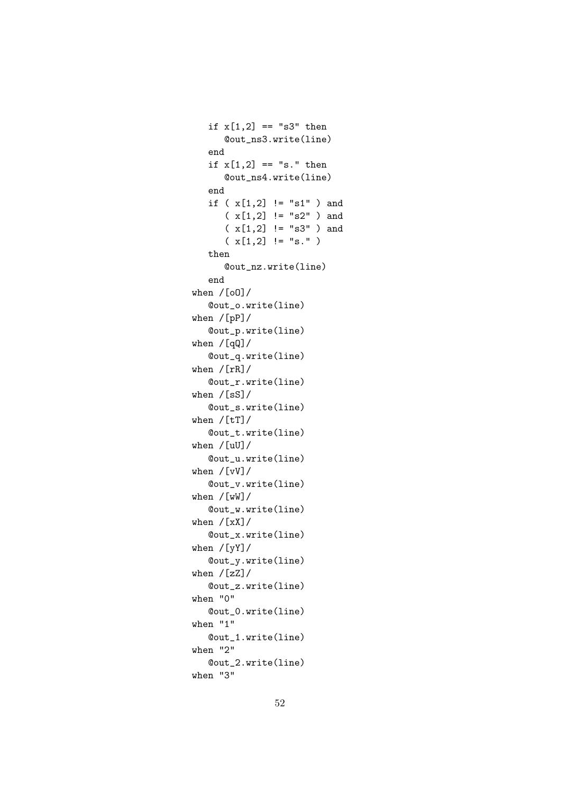```
if x[1,2] == "s3" then@out_ns3.write(line)
   end
   if x[1,2] == "s." then@out_ns4.write(line)
   end
   if (x[1,2] := "s1" ) and
      (x[1,2] := "s2" ) and
      ( x[1,2] != "s3" ) and
      (x[1,2] := "s." )then
      @out_nz.write(line)
   end
when /[oO]/
   @out_o.write(line)
when /[pP]/
   @out_p.write(line)
when /[qQ]/
   @out_q.write(line)
when /[rR]/
   @out_r.write(line)
when /[sS]/
   @out_s.write(line)
when /[tT]/
   @out_t.write(line)
when /[uU]/
   @out_u.write(line)
when /[vV]/
   @out_v.write(line)
when /[wW]/
   @out_w.write(line)
when /[xX]/@out_x.write(line)
when /[yY]/
   @out_y.write(line)
when /[zZ]/
   @out_z.write(line)
when "0"
   @out_0.write(line)
when "1"
   @out_1.write(line)
when "2"
   @out_2.write(line)
when "3"
```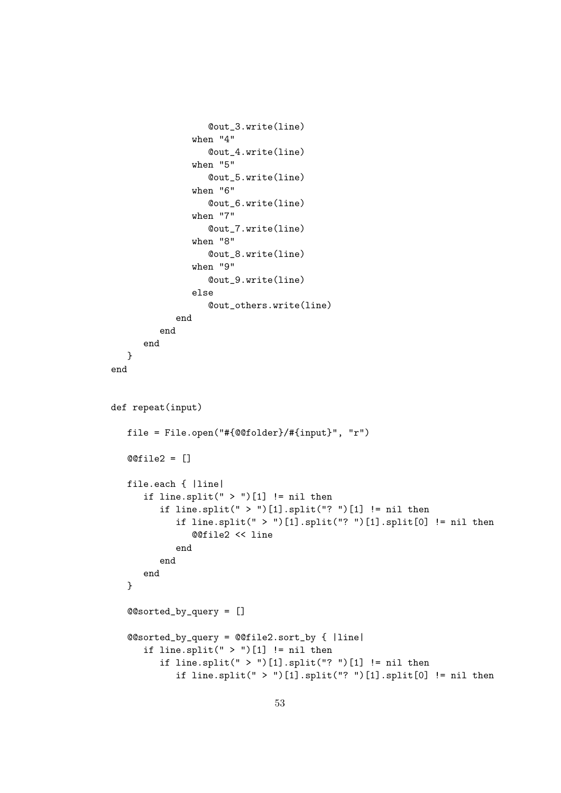```
@out_3.write(line)
               when "4"
                  @out_4.write(line)
               when "5"
                  @out_5.write(line)
               when "6"
                  @out_6.write(line)
               when "7"
                  @out_7.write(line)
               when "8"
                  @out_8.write(line)
               when "9"
                  @out_9.write(line)
               else
                  @out_others.write(line)
            end
         end
      end
  }
end
def repeat(input)
  file = File.open("#{@@folder}/#{input}", "r")
  @@file2 = []
  file.each { |line|
      if line.split(" > ")[1] != nil then
         if line.split(" > ")[1].split("? ")[1] != nil then
            if line.split(" > ")[1].split("? ")[1].split[0] != nil then
               @@file2 << line
            end
         end
      end
   }
   @@sorted_by_query = []
   @@sorted_by_query = @@file2.sort_by { |line|
      if line.split(" > ")[1] != nil then
         if line.split(" > ")[1].split("? ")[1] != nil then
            if line.split(" > ")[1].split("? ")[1].split[0] != nil then
```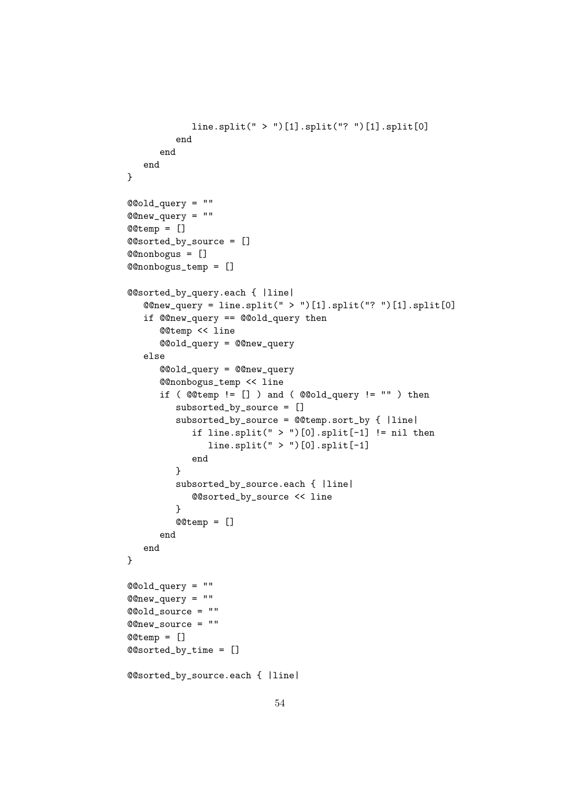```
line.split(" > ")[1].split("? ")[1].split[0]
         end
      end
  end
}
@@old_query = ""
@@new_query = ""
@@temp = []
@@sorted_by_source = []
@@nonbogus = []
@@nonbogus_temp = []
@@sorted_by_query.each { |line|
  @@new_query = line.split(" > ")[1].split("? ")[1].split[0]
   if @@new_query == @@old_query then
      @@temp << line
      @@old_query = @@new_query
   else
      @@old_query = @@new_query
      @@nonbogus_temp << line
      if (@temp := []) and (@old_query := "") then
         subsorted_by_source = []
         subsorted_by_source = @@temp.sort_by { |line|
            if line.split(" > ")[0].split[-1] != nil then
               line.split(" > ")[0].split[-1]end
         }
         subsorted_by_source.each { |line|
            @@sorted_by_source << line
         }
         @@temp = []
      end
  end
}
@@old_query = ""
@@new_query = ""
@@old_source = ""
@@new_source = ""
@@temp = []
@@sorted_by_time = []
@@sorted_by_source.each { |line|
```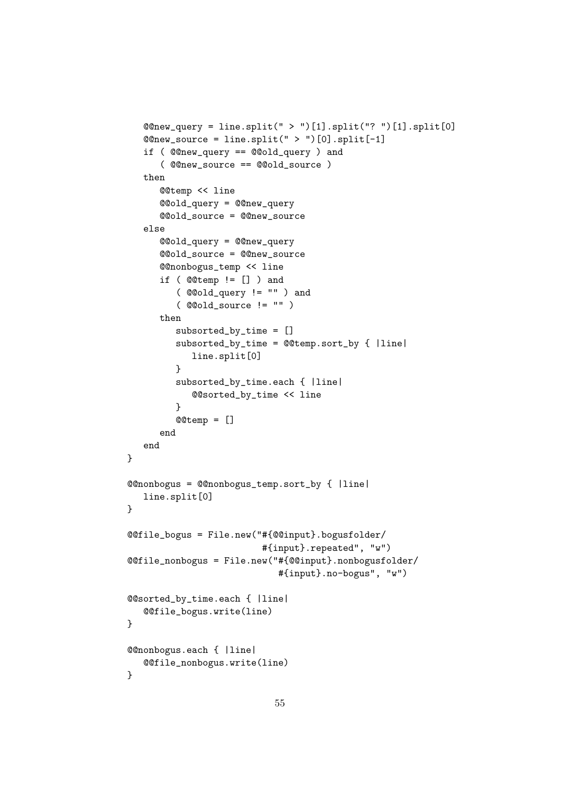```
@new_query = line.split(" > ")[1].split(" ? ")[1].split[0]@new\_source = line.split(" > ")[0].split[-1]if ( @@new_query == @@old_query ) and
      ( @@new_source == @@old_source )
  then
      @@temp << line
      @@old_query = @@new_query
      @@old_source = @@new_source
   else
      @@old_query = @@new_query
      @@old_source = @@new_source
      @@nonbogus_temp << line
      if ( @@temp != [] ) and
         ( @@old_query != "" ) and
         ( @@old_source != "" )
      then
         subsorted_by_time = []
         subsorted_by_time = @@temp.sort_by { |line|
            line.split[0]
         }
         subsorted_by_time.each { |line|
            @@sorted_by_time << line
         }
         @@temp = []
      end
   end
}
@@nonbogus = @@nonbogus_temp.sort_by { |line|
  line.split[0]
}
@@file_bogus = File.new("#{@@input}.bogusfolder/
                         #{input}.repeated", "w")
@@file_nonbogus = File.new("#{@@input}.nonbogusfolder/
                            #{input}.no-bogus", "w")
@@sorted_by_time.each { |line|
   @@file_bogus.write(line)
}
@@nonbogus.each { |line|
   @@file_nonbogus.write(line)
}
```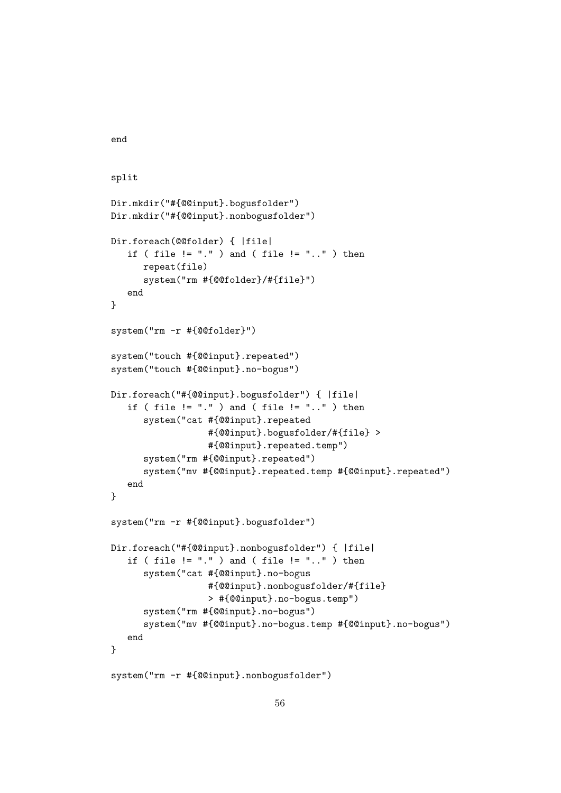```
split
Dir.mkdir("#{@@input}.bogusfolder")
Dir.mkdir("#{@@input}.nonbogusfolder")
Dir.foreach(@@folder) { |file|
   if ( file != "." ) and ( file != ".." ) then
      repeat(file)
      system("rm #{@@folder}/#{file}")
   end
}
system("rm -r #{@@folder}")
system("touch #{@@input}.repeated")
system("touch #{@@input}.no-bogus")
Dir.foreach("#{@@input}.bogusfolder") { |file|
   if ( file != ".") and ( file != "..") then
      system("cat #{@@input}.repeated
                  #{@@input}.bogusfolder/#{file} >
                  #{@@input}.repeated.temp")
      system("rm #{@@input}.repeated")
      system("mv #{@@input}.repeated.temp #{@@input}.repeated")
   end
}
system("rm -r #{@@input}.bogusfolder")
Dir.foreach("#{@@input}.nonbogusfolder") { |file|
   if ( file != "." ) and ( file != ".." ) then
      system("cat #{@@input}.no-bogus
                  #{@@input}.nonbogusfolder/#{file}
                  > #{@@input}.no-bogus.temp")
      system("rm #{@@input}.no-bogus")
      system("mv #{@@input}.no-bogus.temp #{@@input}.no-bogus")
  end
}
system("rm -r #{@@input}.nonbogusfolder")
```
end

```
56
```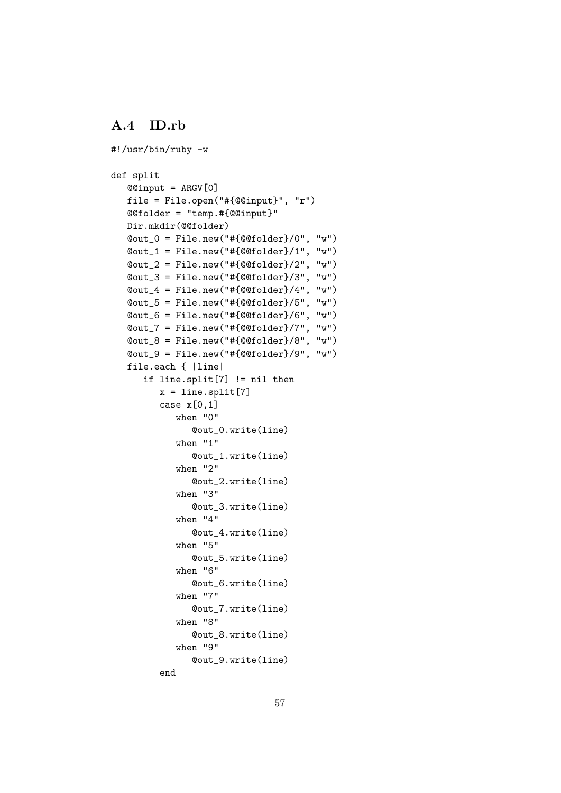### <span id="page-59-0"></span>A.4 ID.rb

```
#!/usr/bin/ruby -w
def split
   @@input = ARGV[0]
   file = File.open("#{@@input}", "r")
   @@folder = "temp.#{@@input}"
   Dir.mkdir(@@folder)
   @out_0 = File.new("#{@@folder}/0", "w")
   \texttt{Count\_1} = \texttt{File.new}("# \{\texttt{@folder}} / 1", "w")\texttt{Count2} = \texttt{File.new}("# \{\texttt{@folder}\} / 2", "w")\texttt{Count}_3 = \texttt{File.new}("\# \{\texttt{@folder}\}/3", "w")\texttt{Count}_4 = \texttt{File.new}("# \{\texttt{@folder}\}/4", "w")@out_5 = File.new("#{@@folder}/5", "w")
   \texttt{Count_6} = \texttt{File.new("#[@folder}/6", "w")@out_7 = File.new("#{@@folder}/7", "w")
   \texttt{Count_8} = \texttt{File.new("#[@folder}/8", "w")\texttt{Count_9} = \texttt{File.new("#[@folder]/9", "w")}file.each { |line|
       if line.split[7] != nil then
          x = line.split[7]case x[0,1]
              when "0"
                  @out_0.write(line)
              when "1"
                  @out_1.write(line)
              when "2"
                  @out_2.write(line)
              when "3"
                  @out_3.write(line)
              when "4"
                  @out_4.write(line)
              when "5"
                  @out_5.write(line)
              when "6"
                  @out_6.write(line)
              when "7"
                  @out_7.write(line)
              when "8"
                  @out_8.write(line)
              when "9"
                  @out_9.write(line)
           end
```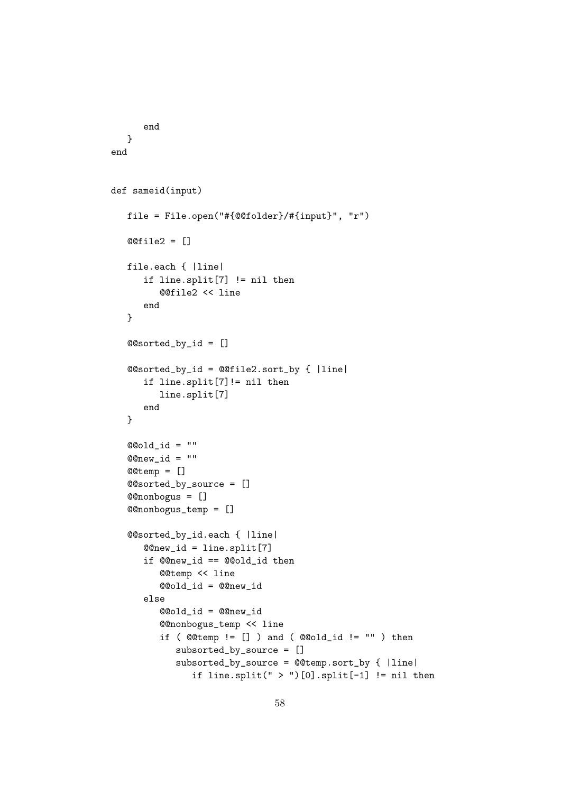```
end
   }
end
def sameid(input)
   file = File.open("#{@@folder}/#{input}", "r")
   @@file2 = []
   file.each { |line|
      if line.split[7] != nil then
         @@file2 << line
      end
   }
   @@sorted_by_id = []
   @@sorted_by_id = @@file2.sort_by { |line|
      if line.split[7]!= nil then
         line.split[7]
      end
   }
   @Qold_id = ""@Qnew_id = ""@@temp = []
   @@sorted_by_source = []
   @@nonbogus = []
   @@nonbogus_temp = []
   @@sorted_by_id.each { |line|
      @@new_id = line.split[7]
      if @@new_id == @@old_id then
         @@temp << line
         @@old_id = @@new_id
      else
         @@old_id = @@new_id
         @@nonbogus_temp << line
         if ( @ \& \text{temp} != [] ) and ( @ \& \text{old_id} != "" ) thensubsorted_by_source = []
            subsorted_by_source = @@temp.sort_by { |line|
               if line.split(" > ")[0].split[-1] != nil then
```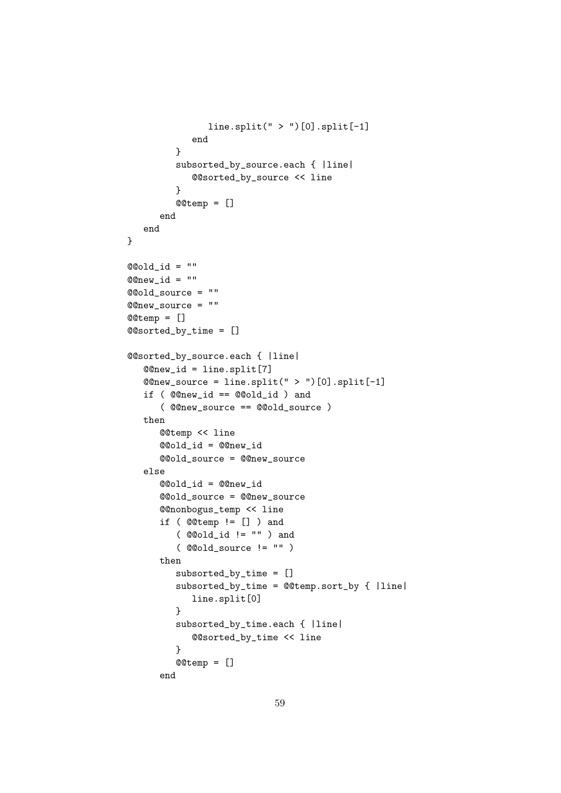```
line.split(" > ")[0].split[-1]end
         }
         subsorted_by_source.each { |line|
            @@sorted_by_source << line
         }
         @@temp = []
      end
  end
}
@Qold_id = ""@Qnew_id = ""@@old_source = ""
@@new_source = ""
@@temp = []
@@sorted_by_time = []
@@sorted_by_source.each { |line|
  @@new_id = line.split[7]
  @@new_source = line.split(" > ")[0].split[-1]
   if ( @@new_id == @@old_id ) and
      ( @@new_source == @@old_source )
  then
      @@temp << line
      @@old_id = @@new_id
      @@old_source = @@new_source
  else
      @@old_id = @@new_id
      @@old_source = @@new_source
      @@nonbogus_temp << line
      if ( @@temp != [] ) and
         ( @@old_id != "" ) and
         ( @@old_source != "" )
      then
         subsorted_by_time = []
         subsorted_by_time = @@temp.sort_by { |line|
            line.split[0]
         }
         subsorted_by_time.each { |line|
            @@sorted_by_time << line
         }
         @@temp = []
      end
```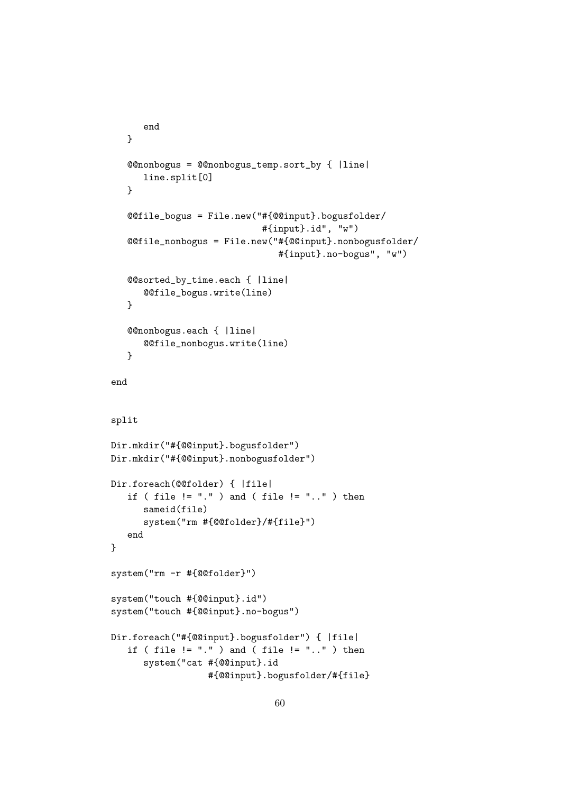```
end
   }
   @@nonbogus = @@nonbogus_temp.sort_by { |line|
      line.split[0]
   }
   @@file_bogus = File.new("#{@@input}.bogusfolder/
                            #{input}.id", "w")
   @@file_nonbogus = File.new("#{@@input}.nonbogusfolder/
                               #{input}.no-bogus", "w")
   @@sorted_by_time.each { |line|
      @@file_bogus.write(line)
   }
   @@nonbogus.each { |line|
      @@file_nonbogus.write(line)
   }
end
split
Dir.mkdir("#{@@input}.bogusfolder")
Dir.mkdir("#{@@input}.nonbogusfolder")
Dir.foreach(@@folder) { |file|
   if ( file != "." ) and ( file != ".." ) then
      sameid(file)
      system("rm #{@@folder}/#{file}")
   end
}
system("rm -r #{@@folder}")
system("touch #{@@input}.id")
system("touch #{@@input}.no-bogus")
Dir.foreach("#{@@input}.bogusfolder") { |file|
   if ( file != "." ) and ( file != ".." ) then
      system("cat #{@@input}.id
                  #{@@input}.bogusfolder/#{file}
```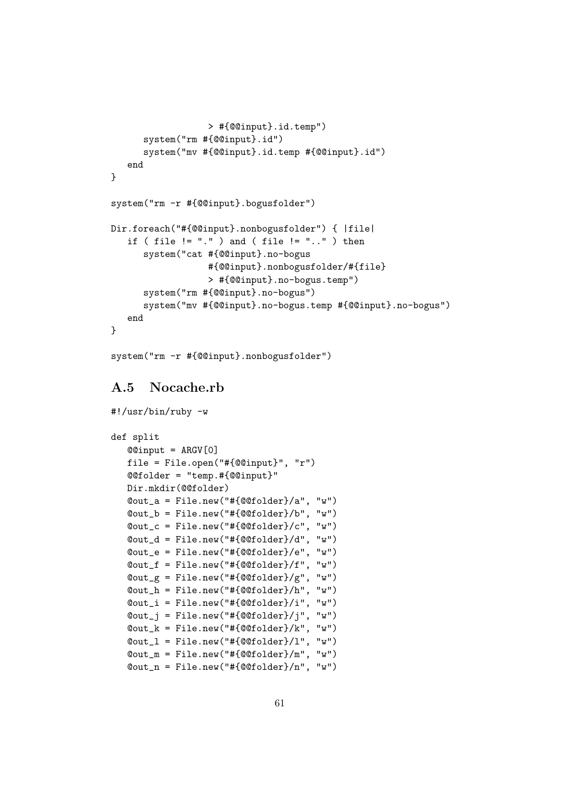```
> #{@@input}.id.temp")
      system("rm #{@@input}.id")
      system("mv #{@@input}.id.temp #{@@input}.id")
   end
}
system("rm -r #{@@input}.bogusfolder")
Dir.foreach("#{@@input}.nonbogusfolder") { |file|
   if ( file != "." ) and ( file != ".." ) then
      system("cat #{@@input}.no-bogus
                  #{@@input}.nonbogusfolder/#{file}
                  > #{@@input}.no-bogus.temp")
      system("rm #{@@input}.no-bogus")
      system("mv #{@@input}.no-bogus.temp #{@@input}.no-bogus")
   end
}
```
system("rm -r #{@@input}.nonbogusfolder")

## <span id="page-63-0"></span>A.5 Nocache.rb

```
#!/usr/bin/ruby -w
def split
   @@input = ARGV[0]
   file = File.open("#{@@input}", "r")
   @@folder = "temp.#{@@input}"
   Dir.mkdir(@@folder)
   \texttt{Count}_a = \texttt{File.new}("\# \{\texttt{QQfolder}\}/a", "w")@out_b = File.new("#{@@folder}/b", "w")
   @out_c = File.new("#{@@folder}/c", "w")
   @out_d = File.new("#{@@folder}/d", "w")
   @out_e = File.new("#{@@folder}/e", "w")
   @out_f = File.new("#{@@folder}/f", "w")
   \texttt{Count}_{\mathcal{A}} = \texttt{File.new("#[@folder]/g", "w")}@out_h = File.new("#{@@folder}/h", "w")
   @out_i = File.new("#{@@folder}/i", "w")
   \texttt{Count}_j = \texttt{File.new("#[@folder}/j", "w")\texttt{Count\_k} = \texttt{File.new}("# \{\texttt{QQfolder}} / k", "w")@out_l = File.new("#{@@folder}/l", "w")
   @out_m = File.new("#{@@folder}/m", "w")
   @out_n = File.new("#{@@folder}/n", "w")
```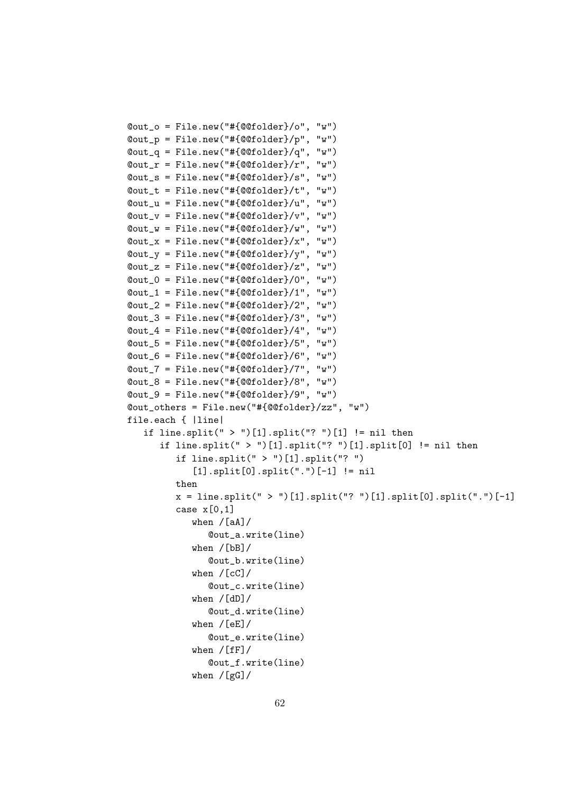```
@out_o = File.new("#{@@folder}/o", "w")
\texttt{Count}_p = \text{File.new}("# \{\texttt{@folder}} / p", "w")\texttt{Count_q} = \texttt{File.new}("# \{\texttt{@folder}\}/q", "w")\texttt{Quut}_r = \texttt{File.new}("\# \{\texttt{QQfolder}\}/r", \texttt{w"})@out_s = File.new("#{@@folder}/s", "w")
@out_t = File.new("#{@@folder}/t", "w")
@out_u = File.new("#{@@folder}/u", "w")
\texttt{Quut}_v = \texttt{File.new}("\# \{\texttt{QOfolder}\}/v", "w")\texttt{Count_w} = \texttt{File.new}("\# \{\texttt{@folder}\}/\texttt{w", "w"})\texttt{Quut}_x = \texttt{File.new}("# \{\texttt{QQfolder}\}/x", "w")\text{Qut}_y = \text{File.new}("# \{\text{@folder}\} / \gamma", "w")\texttt{Quut}_z = \texttt{File.new}("# \{\texttt{QQfolder}\}/z", \texttt{''w"})\texttt{Count_0} = \texttt{File.new}("# \{\texttt{@folder}}/0", "w")\texttt{Count\_1} = \texttt{File.new}("# \{\texttt{@folder}} / 1", "w")\texttt{Count2} = \texttt{File.new}("# \{\texttt{@folder}\}/2", "w")\texttt{Count_3} = \texttt{File.new}("# \{\texttt{@folder}} / 3", "w")\texttt{Count}_4 = \texttt{File.new}("\# \{\texttt{QQfolder}\}/4", "w")\texttt{Count}_5 = \texttt{File.new("#[@folder]/5", "w")}@out_6 = File.new("#{@@folder}/6", "w")
@out_7 = File.new("#{@@folder}/7", "w")
@out_8 = File.new("#{@@folder}/8", "w")
\texttt{Count_9} = \texttt{File.new}("# \{\texttt{@folder}\}/9", "w")@out_others = File.new("#{@@folder}/zz", "w")
file.each { |line|
    if line.split(" > ")[1].split("? ")[1] != nil then
        if line.split(" > ")[1].split("? ")[1].split[0] != nil then
            if line.split(" > ")[1].split("? ")
                [1].split[0].split(".")[-1] != nil
            then
            x = line.split(" > ")[1].split(" ? ")[1].split[0].split(" .")[-1]case x[0,1]when /[aA]/@out_a.write(line)
                when /[bB]/@out_b.write(line)
                when /[cC]/
                    @out_c.write(line)
                when /[dD]/
                    @out_d.write(line)
                when /[eE]/@out_e.write(line)
                when /[ff]/@out_f.write(line)
                when /[gG]/
```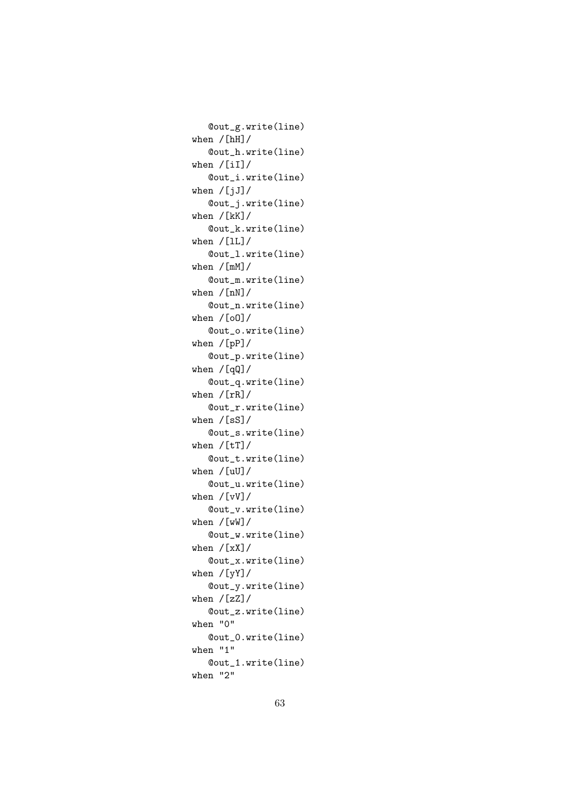@out\_g.write(line) when /[hH]/ @out\_h.write(line) when /[iI]/ @out\_i.write(line) when  $/[jJ]/$ @out\_j.write(line) when /[kK]/ @out\_k.write(line) when  $/[1L]/$ @out\_l.write(line) when /[mM]/ @out\_m.write(line) when /[nN]/ @out\_n.write(line) when /[oO]/ @out\_o.write(line) when /[pP]/ @out\_p.write(line) when /[qQ]/ @out\_q.write(line) when /[rR]/ @out\_r.write(line) when /[sS]/ @out\_s.write(line) when  $/[tT]/$ @out\_t.write(line) when /[uU]/ @out\_u.write(line) when /[vV]/ @out\_v.write(line) when /[wW]/ @out\_w.write(line) when  $/[xX]/$ @out\_x.write(line) when /[yY]/ @out\_y.write(line) when  $/[zZ]/$ @out\_z.write(line) when "0" @out\_0.write(line) when "1" @out\_1.write(line) when "2"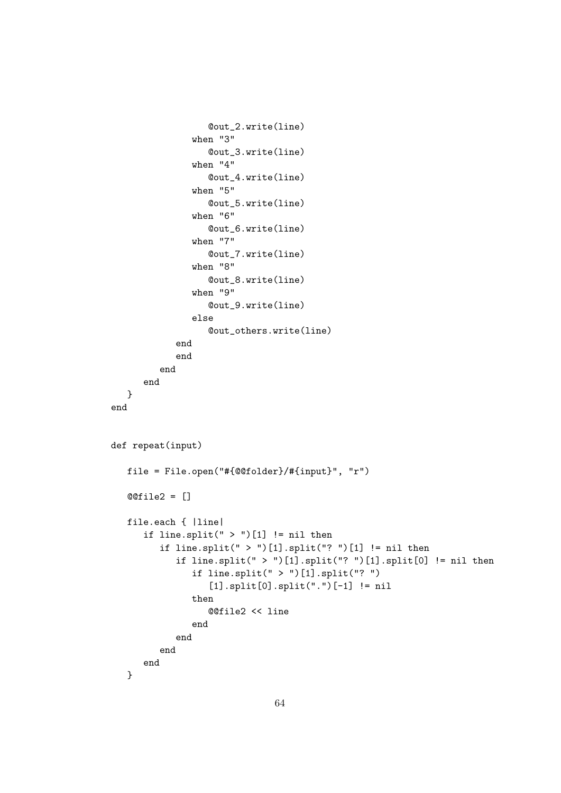```
@out_2.write(line)
               when "3"
                  @out_3.write(line)
               when "4"
                  @out_4.write(line)
               when "5"
                  @out_5.write(line)
               when "6"
                  @out_6.write(line)
               when "7"
                  @out_7.write(line)
               when "8"
                  @out_8.write(line)
               when "9"
                  @out_9.write(line)
               else
                  @out_others.write(line)
            end
            end
         end
      end
  }
end
def repeat(input)
  file = File.open("#{@@folder}/#{input}", "r")
   @@file2 = []
   file.each { |line|
      if line.split(" > ")[1] != nil then
         if line.split(" > ")[1].split("? ")[1] != nil then
            if line.split(" > ")[1].split("? ")[1].split[0] != nil then
               if line.split(" > ")[1].split("? ")
                  [1].split[0].split(".")[-1] != nil
               then
                  @@file2 << line
               end
            end
         end
      end
   }
```

```
64
```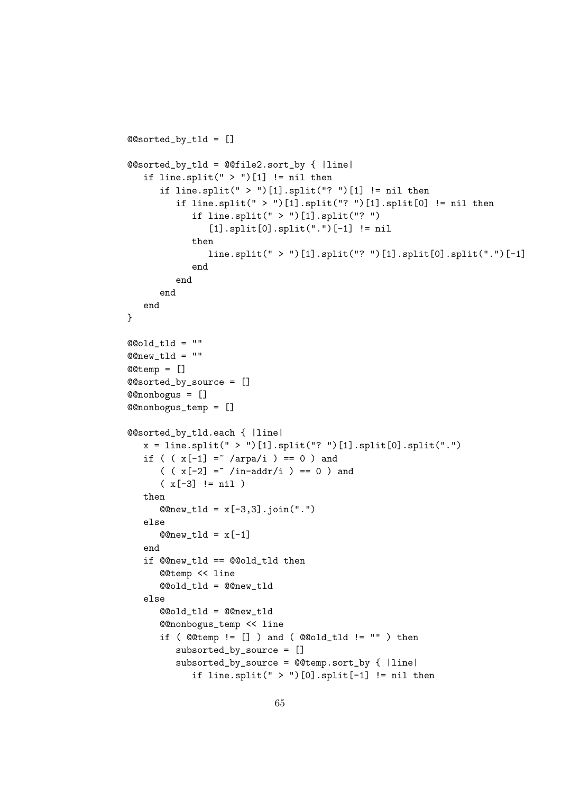```
@@sorted_by_tld = []
@@sorted_by_tld = @@file2.sort_by { |line|
   if line.split(" > ")[1] != nil then
      if line.split(" > ")[1].split("? ")[1] != nil then
         if line.split(" > ")[1].split("? ")[1].split[0] != nil then
            if line.split(" > ")[1].split("? ")
               [1].split[0].split(".")[-1] != nil
            then
               line.split(" > ")[1].split("? ")[1].split[0].split(".")[-1]
            end
         end
      end
  end
}
@Qold_tld = ""@Qnew_tld = ""@@temp = []
@@sorted_by_source = []
@@nonbogus = []
@@nonbogus_temp = []
@@sorted_by_tld.each { |line|
  x = line.split(" > ")[1].split("? ")[1].split("].split("if ( (x[-1] = x / \text{arg } a/i ) == 0 ) and
      ( (x[-2] = x /in-addr/i ) == 0 ) and
      (x[-3] := nil)then
      @new_t1d = x[-3,3]. join(".")
  else
      @Qnew_t1d = x[-1]end
   if @@new_tld == @@old_tld then
      @@temp << line
      @@old_tld = @@new_tld
   else
      @@old_tld = @@new_tld
      @@nonbogus_temp << line
      if (@temp := []) and (@Gold_tld := "") then
         subsorted_by_source = []
         subsorted_by_source = @@temp.sort_by { |line|
            if line.split(" > ")[0].split[-1] != nil then
```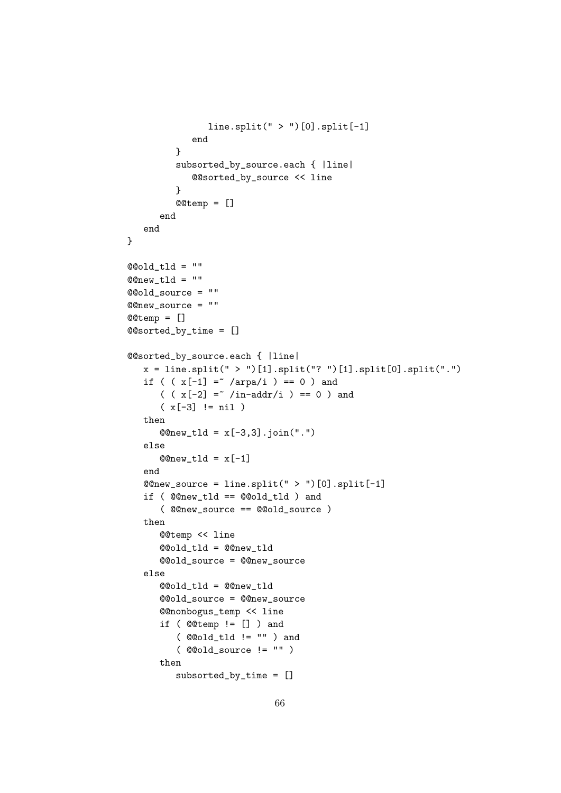```
line.split(" > ")[0].split[-1]end
         }
         subsorted_by_source.each { |line|
            @@sorted_by_source << line
         }
         @@temp = []
      end
   end
}
@Qold_tld = ""@Qnew_tld = ""@@old_source = ""
@@new_source = ""
@@temp = []
@@sorted_by_time = []
@@sorted_by_source.each { |line|
   x = line.split(" > ")[1].split("? ")[1].split[0].split("."")if ( (x[-1] = x / \text{arg } a/i ) == 0 ) and
      (y + 2) = x / \in \text{and} (y - 2) = 0 and
      (x[-3] := nil)then
      @@new_tld = x[-3,3].join(".")
   else
      @Qnew_t1d = x[-1]end
   @new\_source = line.split(" > ")[0].split[-1]if ( @@new_tld == @@old_tld ) and
      ( @@new_source == @@old_source )
   then
      @@temp << line
      @@old_tld = @@new_tld
      @@old_source = @@new_source
   else
      @@old_tld = @@new_tld
      @@old_source = @@new_source
      @@nonbogus_temp << line
      if ( @@temp != [] ) and
         ( @@old_tld != "" ) and
         ( @@old_source != "" )
      then
         subsorted_by_time = []
```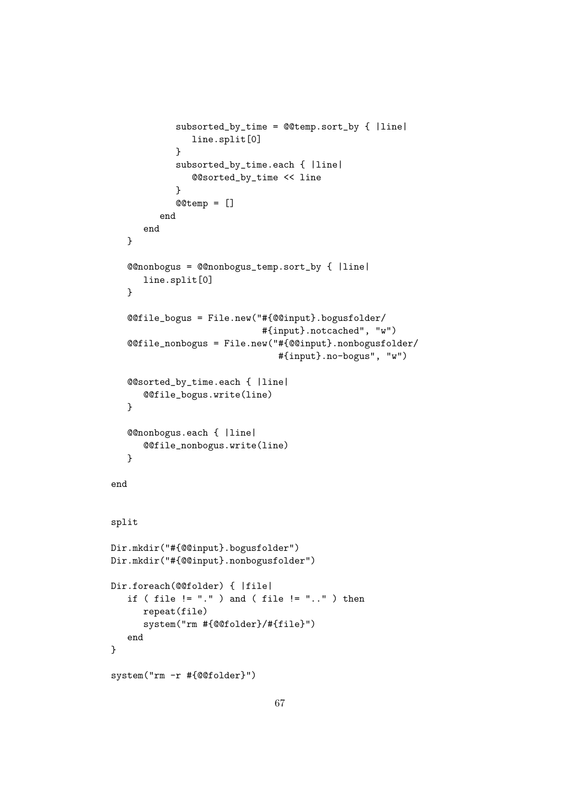```
subsorted_by_time = @@temp.sort_by { |line|
               line.split[0]
            }
            subsorted_by_time.each { |line|
               @@sorted_by_time << line
            }
            @@temp = []
         end
      end
   }
   @@nonbogus = @@nonbogus_temp.sort_by { |line|
      line.split[0]
   }
   @@file_bogus = File.new("#{@@input}.bogusfolder/
                             #{input}.notcached", "w")
   @@file_nonbogus = File.new("#{@@input}.nonbogusfolder/
                                #{input}.no-bogus", "w")
   @@sorted_by_time.each { |line|
      @@file_bogus.write(line)
   }
   @@nonbogus.each { |line|
      @@file_nonbogus.write(line)
   }
end
split
Dir.mkdir("#{@@input}.bogusfolder")
Dir.mkdir("#{@@input}.nonbogusfolder")
Dir.foreach(@@folder) { |file|
   if ( file != "." ) and ( file != ".." ) then
      repeat(file)
      system("rm #{@@folder}/#{file}")
   end
}
system("rm -r #{@@folder}")
```